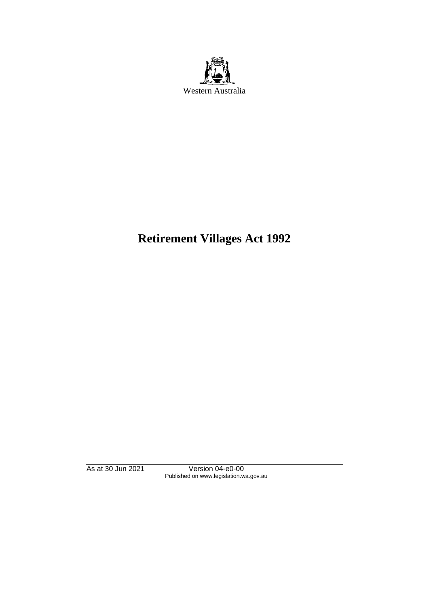

# **Retirement Villages Act 1992**

As at 30 Jun 2021 Version 04-e0-00 Published on www.legislation.wa.gov.au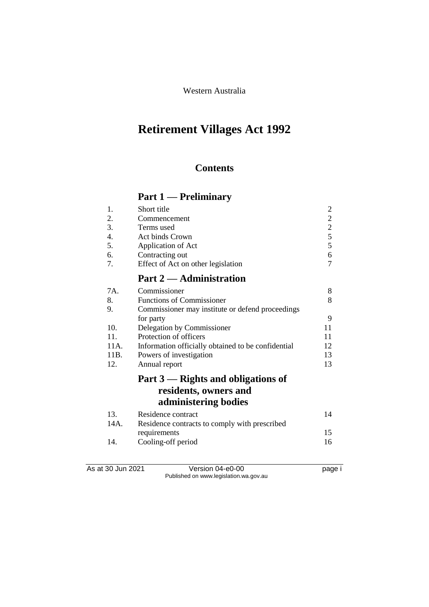Western Australia

# **Retirement Villages Act 1992**

### **Contents**

# **Part 1 — Preliminary**

| 1.   | Short title                                        | $\overline{c}$ |
|------|----------------------------------------------------|----------------|
| 2.   | Commencement                                       | $\overline{c}$ |
| 3.   | Terms used                                         | $\overline{c}$ |
| 4.   | Act binds Crown                                    | 5              |
| 5.   | Application of Act                                 | 5              |
| 6.   | Contracting out                                    | 6              |
| 7.   | Effect of Act on other legislation                 | 7              |
|      | Part 2 — Administration                            |                |
| 7A.  | Commissioner                                       | 8              |
| 8.   | <b>Functions of Commissioner</b>                   | 8              |
| 9.   | Commissioner may institute or defend proceedings   |                |
|      | for party                                          | 9              |
| 10.  | Delegation by Commissioner                         | 11             |
| 11.  | Protection of officers                             | 11             |
| 11A. | Information officially obtained to be confidential | 12             |
| 11B. | Powers of investigation                            | 13             |
| 12.  | Annual report                                      | 13             |
|      | Part 3 — Rights and obligations of                 |                |
|      | residents, owners and                              |                |
|      | administering bodies                               |                |
| 13.  | Residence contract                                 | 14             |
| 14A. | Residence contracts to comply with prescribed      |                |
|      | requirements                                       | 15             |
| 14.  | Cooling-off period                                 | 16             |

As at 30 Jun 2021 Version 04-e0-00 Page i Published on www.legislation.wa.gov.au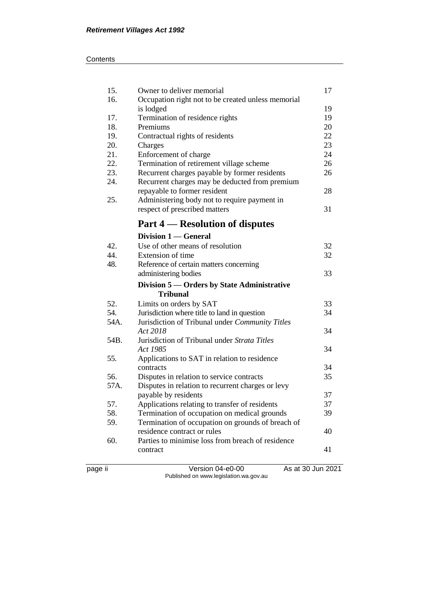| 15.  | Owner to deliver memorial                          | 17 |
|------|----------------------------------------------------|----|
| 16.  | Occupation right not to be created unless memorial |    |
|      | is lodged                                          | 19 |
| 17.  | Termination of residence rights                    | 19 |
| 18.  | Premiums                                           | 20 |
| 19.  | Contractual rights of residents                    | 22 |
| 20.  | Charges                                            | 23 |
| 21.  | Enforcement of charge                              | 24 |
| 22.  | Termination of retirement village scheme           | 26 |
| 23.  | Recurrent charges payable by former residents      | 26 |
| 24.  | Recurrent charges may be deducted from premium     |    |
|      | repayable to former resident                       | 28 |
| 25.  | Administering body not to require payment in       |    |
|      | respect of prescribed matters                      | 31 |
|      | Part 4 — Resolution of disputes                    |    |
|      | Division 1 — General                               |    |
| 42.  | Use of other means of resolution                   | 32 |
| 44.  | Extension of time                                  | 32 |
| 48.  | Reference of certain matters concerning            |    |
|      | administering bodies                               | 33 |
|      | Division 5 - Orders by State Administrative        |    |
|      | <b>Tribunal</b>                                    |    |
| 52.  | Limits on orders by SAT                            | 33 |
| 54.  | Jurisdiction where title to land in question       | 34 |
| 54A. | Jurisdiction of Tribunal under Community Titles    |    |
|      | Act 2018                                           | 34 |
| 54B. | Jurisdiction of Tribunal under Strata Titles       |    |
|      | Act 1985                                           | 34 |
| 55.  | Applications to SAT in relation to residence       |    |
|      | contracts                                          | 34 |
| 56.  | Disputes in relation to service contracts          | 35 |
| 57A. | Disputes in relation to recurrent charges or levy  |    |
|      | payable by residents                               | 37 |
| 57.  | Applications relating to transfer of residents     | 37 |
| 58.  | Termination of occupation on medical grounds       | 39 |
| 59.  | Termination of occupation on grounds of breach of  |    |
|      | residence contract or rules                        | 40 |
| 60.  | Parties to minimise loss from breach of residence  |    |
|      | contract                                           | 41 |
|      |                                                    |    |
|      |                                                    |    |

page ii Version 04-e0-00 As at 30 Jun 2021 Published on www.legislation.wa.gov.au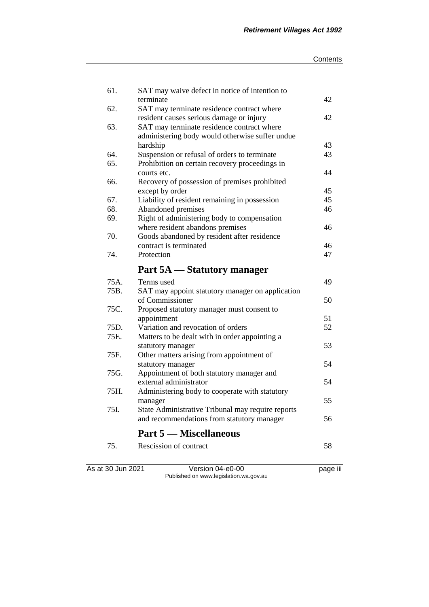| 61.  | SAT may waive defect in notice of intention to<br>terminate    | 42 |
|------|----------------------------------------------------------------|----|
| 62.  | SAT may terminate residence contract where                     |    |
|      | resident causes serious damage or injury                       | 42 |
| 63.  | SAT may terminate residence contract where                     |    |
|      | administering body would otherwise suffer undue                |    |
|      | hardship                                                       | 43 |
| 64.  | Suspension or refusal of orders to terminate                   | 43 |
| 65.  | Prohibition on certain recovery proceedings in                 |    |
|      | courts etc.                                                    | 44 |
| 66.  | Recovery of possession of premises prohibited                  |    |
|      | except by order                                                | 45 |
| 67.  | Liability of resident remaining in possession                  | 45 |
| 68.  | Abandoned premises                                             | 46 |
| 69.  | Right of administering body to compensation                    |    |
|      | where resident abandons premises                               | 46 |
| 70.  | Goods abandoned by resident after residence                    |    |
|      | contract is terminated                                         | 46 |
| 74.  | Protection                                                     | 47 |
|      | Part 5A — Statutory manager                                    |    |
| 75A. | Terms used                                                     | 49 |
| 75B. | SAT may appoint statutory manager on application               |    |
|      | of Commissioner                                                | 50 |
| 75C. | Proposed statutory manager must consent to                     |    |
|      | appointment                                                    | 51 |
| 75D. | Variation and revocation of orders                             | 52 |
| 75E. | Matters to be dealt with in order appointing a                 |    |
| 75F. | statutory manager                                              | 53 |
|      | Other matters arising from appointment of<br>statutory manager | 54 |
| 75G. | Appointment of both statutory manager and                      |    |
|      | external administrator                                         | 54 |
| 75H. | Administering body to cooperate with statutory                 |    |
|      | manager                                                        | 55 |
| 75I. | State Administrative Tribunal may require reports              |    |
|      | and recommendations from statutory manager                     | 56 |
|      | <b>Part 5 — Miscellaneous</b>                                  |    |
| 75.  | Rescission of contract                                         | 58 |
|      |                                                                |    |
|      |                                                                |    |

As at 30 Jun 2021 Version 04-e0-00 page iii Published on www.legislation.wa.gov.au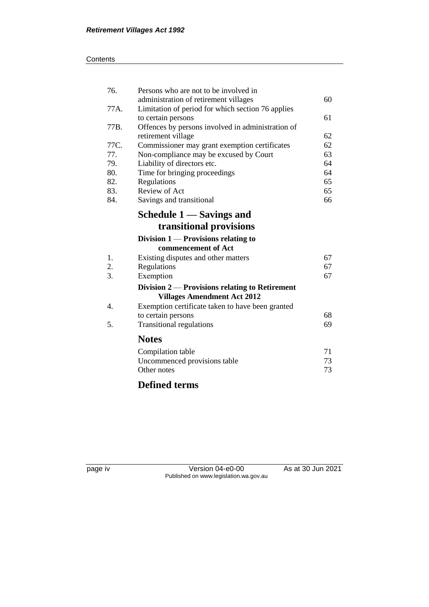### **Contents**

| 76.  | Persons who are not to be involved in                                                  |    |
|------|----------------------------------------------------------------------------------------|----|
|      | administration of retirement villages                                                  | 60 |
| 77A. | Limitation of period for which section 76 applies                                      |    |
|      | to certain persons                                                                     | 61 |
| 77B. | Offences by persons involved in administration of                                      |    |
|      | retirement village                                                                     | 62 |
| 77C. | Commissioner may grant exemption certificates                                          | 62 |
| 77.  | Non-compliance may be excused by Court                                                 | 63 |
| 79.  | Liability of directors etc.                                                            | 64 |
| 80.  | Time for bringing proceedings                                                          | 64 |
| 82.  | Regulations                                                                            | 65 |
| 83.  | Review of Act                                                                          | 65 |
| 84.  | Savings and transitional                                                               | 66 |
|      | Schedule 1 — Savings and                                                               |    |
|      | transitional provisions                                                                |    |
|      | Division $1$ — Provisions relating to                                                  |    |
|      | commencement of Act                                                                    |    |
| 1.   | Existing disputes and other matters                                                    | 67 |
| 2.   | Regulations                                                                            | 67 |
| 3.   | Exemption                                                                              | 67 |
|      | Division $2$ — Provisions relating to Retirement<br><b>Villages Amendment Act 2012</b> |    |
| 4.   | Exemption certificate taken to have been granted                                       |    |
|      | to certain persons                                                                     | 68 |
| 5.   | <b>Transitional regulations</b>                                                        | 69 |
|      |                                                                                        |    |
|      | <b>Notes</b>                                                                           |    |
|      | Compilation table                                                                      | 71 |
|      | Uncommenced provisions table                                                           | 73 |
|      | Other notes                                                                            | 73 |
|      | <b>Defined terms</b>                                                                   |    |

page iv Version 04-e0-00 As at 30 Jun 2021 Published on www.legislation.wa.gov.au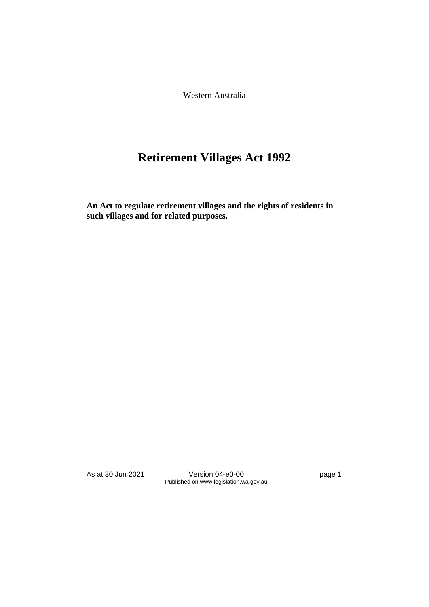Western Australia

# **Retirement Villages Act 1992**

**An Act to regulate retirement villages and the rights of residents in such villages and for related purposes.**

As at 30 Jun 2021 Version 04-e0-00 page 1 Published on www.legislation.wa.gov.au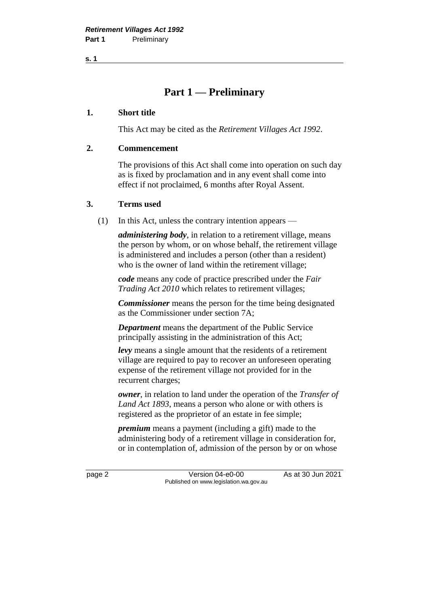### **Part 1 — Preliminary**

### **1. Short title**

This Act may be cited as the *Retirement Villages Act 1992*.

### **2. Commencement**

The provisions of this Act shall come into operation on such day as is fixed by proclamation and in any event shall come into effect if not proclaimed, 6 months after Royal Assent.

### **3. Terms used**

(1) In this Act, unless the contrary intention appears —

*administering body*, in relation to a retirement village, means the person by whom, or on whose behalf, the retirement village is administered and includes a person (other than a resident) who is the owner of land within the retirement village:

*code* means any code of practice prescribed under the *Fair Trading Act 2010* which relates to retirement villages;

*Commissioner* means the person for the time being designated as the Commissioner under section 7A;

*Department* means the department of the Public Service principally assisting in the administration of this Act;

*levy* means a single amount that the residents of a retirement village are required to pay to recover an unforeseen operating expense of the retirement village not provided for in the recurrent charges;

*owner*, in relation to land under the operation of the *Transfer of Land Act 1893*, means a person who alone or with others is registered as the proprietor of an estate in fee simple;

*premium* means a payment (including a gift) made to the administering body of a retirement village in consideration for, or in contemplation of, admission of the person by or on whose

page 2 Version 04-e0-00 As at 30 Jun 2021 Published on www.legislation.wa.gov.au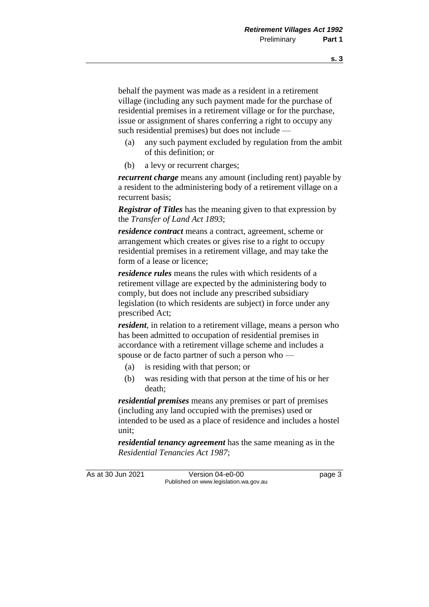behalf the payment was made as a resident in a retirement village (including any such payment made for the purchase of residential premises in a retirement village or for the purchase, issue or assignment of shares conferring a right to occupy any such residential premises) but does not include —

- (a) any such payment excluded by regulation from the ambit of this definition; or
- (b) a levy or recurrent charges;

*recurrent charge* means any amount (including rent) payable by a resident to the administering body of a retirement village on a recurrent basis;

*Registrar of Titles* has the meaning given to that expression by the *Transfer of Land Act 1893*;

*residence contract* means a contract, agreement, scheme or arrangement which creates or gives rise to a right to occupy residential premises in a retirement village, and may take the form of a lease or licence;

*residence rules* means the rules with which residents of a retirement village are expected by the administering body to comply, but does not include any prescribed subsidiary legislation (to which residents are subject) in force under any prescribed Act;

*resident*, in relation to a retirement village, means a person who has been admitted to occupation of residential premises in accordance with a retirement village scheme and includes a spouse or de facto partner of such a person who —

- (a) is residing with that person; or
- (b) was residing with that person at the time of his or her death;

*residential premises* means any premises or part of premises (including any land occupied with the premises) used or intended to be used as a place of residence and includes a hostel unit;

*residential tenancy agreement* has the same meaning as in the *Residential Tenancies Act 1987*;

As at 30 Jun 2021 Version 04-e0-00 Page 3 Published on www.legislation.wa.gov.au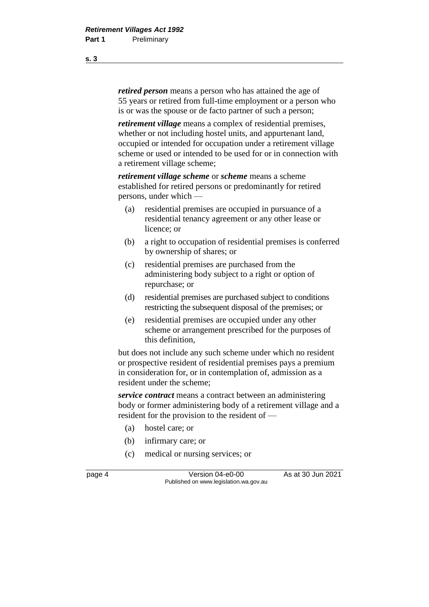*retired person* means a person who has attained the age of 55 years or retired from full-time employment or a person who is or was the spouse or de facto partner of such a person;

*retirement village* means a complex of residential premises, whether or not including hostel units, and appurtenant land, occupied or intended for occupation under a retirement village scheme or used or intended to be used for or in connection with a retirement village scheme;

*retirement village scheme* or *scheme* means a scheme established for retired persons or predominantly for retired persons, under which —

- (a) residential premises are occupied in pursuance of a residential tenancy agreement or any other lease or licence; or
- (b) a right to occupation of residential premises is conferred by ownership of shares; or
- (c) residential premises are purchased from the administering body subject to a right or option of repurchase; or
- (d) residential premises are purchased subject to conditions restricting the subsequent disposal of the premises; or
- (e) residential premises are occupied under any other scheme or arrangement prescribed for the purposes of this definition,

but does not include any such scheme under which no resident or prospective resident of residential premises pays a premium in consideration for, or in contemplation of, admission as a resident under the scheme;

*service contract* means a contract between an administering body or former administering body of a retirement village and a resident for the provision to the resident of —

- (a) hostel care; or
- (b) infirmary care; or
- (c) medical or nursing services; or

page 4 Version 04-e0-00 As at 30 Jun 2021 Published on www.legislation.wa.gov.au

**s. 3**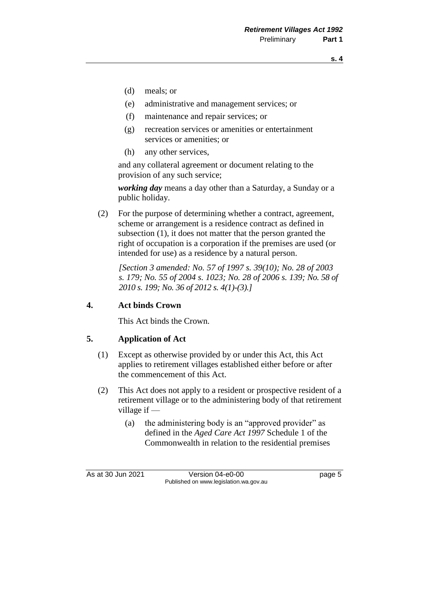- (d) meals; or
- (e) administrative and management services; or
- (f) maintenance and repair services; or
- (g) recreation services or amenities or entertainment services or amenities; or
- (h) any other services,

and any collateral agreement or document relating to the provision of any such service;

*working day* means a day other than a Saturday, a Sunday or a public holiday.

(2) For the purpose of determining whether a contract, agreement, scheme or arrangement is a residence contract as defined in subsection (1), it does not matter that the person granted the right of occupation is a corporation if the premises are used (or intended for use) as a residence by a natural person.

*[Section 3 amended: No. 57 of 1997 s. 39(10); No. 28 of 2003 s. 179; No. 55 of 2004 s. 1023; No. 28 of 2006 s. 139; No. 58 of 2010 s. 199; No. 36 of 2012 s. 4(1)-(3).]*

### **4. Act binds Crown**

This Act binds the Crown.

### **5. Application of Act**

- (1) Except as otherwise provided by or under this Act, this Act applies to retirement villages established either before or after the commencement of this Act.
- (2) This Act does not apply to a resident or prospective resident of a retirement village or to the administering body of that retirement village if —
	- (a) the administering body is an "approved provider" as defined in the *Aged Care Act 1997* Schedule 1 of the Commonwealth in relation to the residential premises

As at 30 Jun 2021 Version 04-e0-00 Page 5 Published on www.legislation.wa.gov.au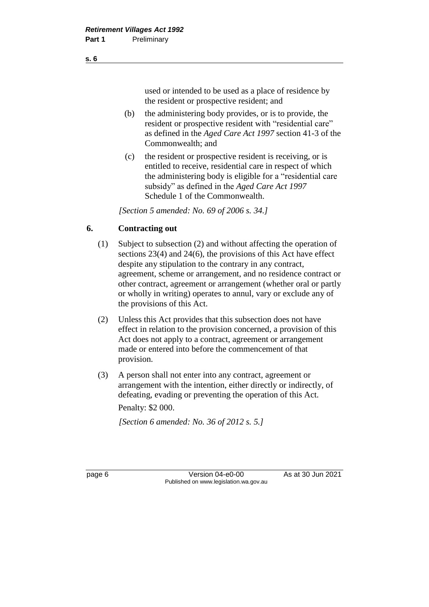used or intended to be used as a place of residence by the resident or prospective resident; and

- (b) the administering body provides, or is to provide, the resident or prospective resident with "residential care" as defined in the *Aged Care Act 1997* section 41-3 of the Commonwealth; and
- (c) the resident or prospective resident is receiving, or is entitled to receive, residential care in respect of which the administering body is eligible for a "residential care subsidy" as defined in the *Aged Care Act 1997* Schedule 1 of the Commonwealth.

*[Section 5 amended: No. 69 of 2006 s. 34.]*

### **6. Contracting out**

- (1) Subject to subsection (2) and without affecting the operation of sections 23(4) and 24(6), the provisions of this Act have effect despite any stipulation to the contrary in any contract, agreement, scheme or arrangement, and no residence contract or other contract, agreement or arrangement (whether oral or partly or wholly in writing) operates to annul, vary or exclude any of the provisions of this Act.
- (2) Unless this Act provides that this subsection does not have effect in relation to the provision concerned, a provision of this Act does not apply to a contract, agreement or arrangement made or entered into before the commencement of that provision.
- (3) A person shall not enter into any contract, agreement or arrangement with the intention, either directly or indirectly, of defeating, evading or preventing the operation of this Act. Penalty: \$2 000.

*[Section 6 amended: No. 36 of 2012 s. 5.]*

page 6 Version 04-e0-00 As at 30 Jun 2021 Published on www.legislation.wa.gov.au

**s. 6**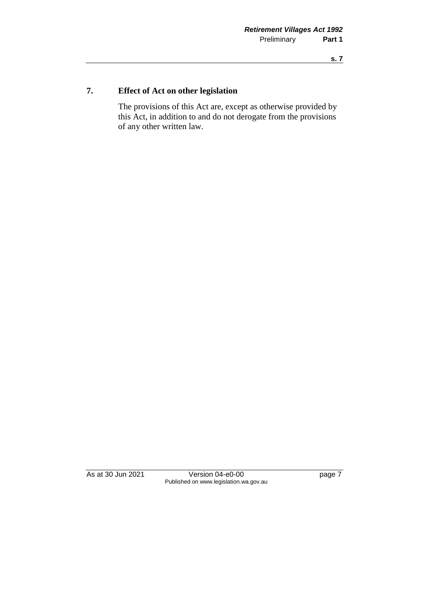### **7. Effect of Act on other legislation**

The provisions of this Act are, except as otherwise provided by this Act, in addition to and do not derogate from the provisions of any other written law.

As at 30 Jun 2021 Version 04-e0-00 Page 7 Published on www.legislation.wa.gov.au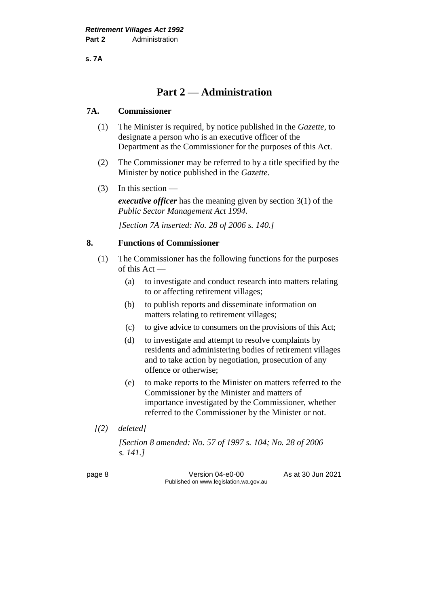**s. 7A**

### **Part 2 — Administration**

### **7A. Commissioner**

- (1) The Minister is required, by notice published in the *Gazette*, to designate a person who is an executive officer of the Department as the Commissioner for the purposes of this Act.
- (2) The Commissioner may be referred to by a title specified by the Minister by notice published in the *Gazette*.
- (3) In this section —

*executive officer* has the meaning given by section 3(1) of the *Public Sector Management Act 1994*.

*[Section 7A inserted: No. 28 of 2006 s. 140.]*

### **8. Functions of Commissioner**

- (1) The Commissioner has the following functions for the purposes of this Act —
	- (a) to investigate and conduct research into matters relating to or affecting retirement villages;
	- (b) to publish reports and disseminate information on matters relating to retirement villages;
	- (c) to give advice to consumers on the provisions of this Act;
	- (d) to investigate and attempt to resolve complaints by residents and administering bodies of retirement villages and to take action by negotiation, prosecution of any offence or otherwise;
	- (e) to make reports to the Minister on matters referred to the Commissioner by the Minister and matters of importance investigated by the Commissioner, whether referred to the Commissioner by the Minister or not.
- *[(2) deleted]*

*[Section 8 amended: No. 57 of 1997 s. 104; No. 28 of 2006 s. 141.]*

page 8 Version 04-e0-00 As at 30 Jun 2021 Published on www.legislation.wa.gov.au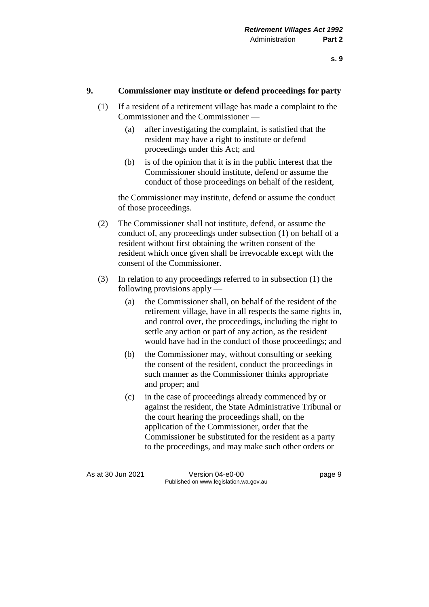### **9. Commissioner may institute or defend proceedings for party**

- (1) If a resident of a retirement village has made a complaint to the Commissioner and the Commissioner —
	- (a) after investigating the complaint, is satisfied that the resident may have a right to institute or defend proceedings under this Act; and
	- (b) is of the opinion that it is in the public interest that the Commissioner should institute, defend or assume the conduct of those proceedings on behalf of the resident,

the Commissioner may institute, defend or assume the conduct of those proceedings.

- (2) The Commissioner shall not institute, defend, or assume the conduct of, any proceedings under subsection (1) on behalf of a resident without first obtaining the written consent of the resident which once given shall be irrevocable except with the consent of the Commissioner.
- (3) In relation to any proceedings referred to in subsection (1) the following provisions apply —
	- (a) the Commissioner shall, on behalf of the resident of the retirement village, have in all respects the same rights in, and control over, the proceedings, including the right to settle any action or part of any action, as the resident would have had in the conduct of those proceedings; and
	- (b) the Commissioner may, without consulting or seeking the consent of the resident, conduct the proceedings in such manner as the Commissioner thinks appropriate and proper; and
	- (c) in the case of proceedings already commenced by or against the resident, the State Administrative Tribunal or the court hearing the proceedings shall, on the application of the Commissioner, order that the Commissioner be substituted for the resident as a party to the proceedings, and may make such other orders or

As at 30 Jun 2021 Version 04-e0-00 Page 9 Published on www.legislation.wa.gov.au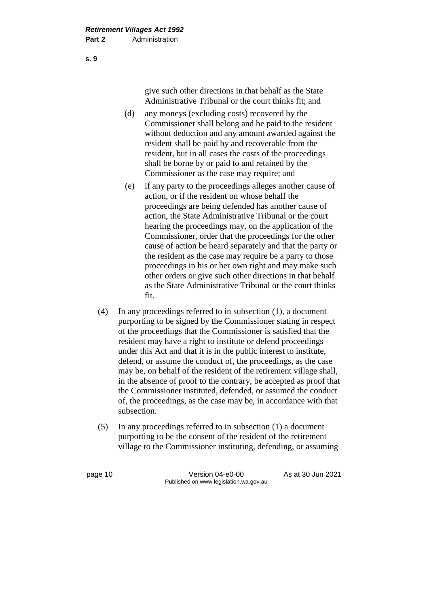give such other directions in that behalf as the State Administrative Tribunal or the court thinks fit; and

- (d) any moneys (excluding costs) recovered by the Commissioner shall belong and be paid to the resident without deduction and any amount awarded against the resident shall be paid by and recoverable from the resident, but in all cases the costs of the proceedings shall be borne by or paid to and retained by the Commissioner as the case may require; and
- (e) if any party to the proceedings alleges another cause of action, or if the resident on whose behalf the proceedings are being defended has another cause of action, the State Administrative Tribunal or the court hearing the proceedings may, on the application of the Commissioner, order that the proceedings for the other cause of action be heard separately and that the party or the resident as the case may require be a party to those proceedings in his or her own right and may make such other orders or give such other directions in that behalf as the State Administrative Tribunal or the court thinks fit.
- (4) In any proceedings referred to in subsection (1), a document purporting to be signed by the Commissioner stating in respect of the proceedings that the Commissioner is satisfied that the resident may have a right to institute or defend proceedings under this Act and that it is in the public interest to institute, defend, or assume the conduct of, the proceedings, as the case may be, on behalf of the resident of the retirement village shall, in the absence of proof to the contrary, be accepted as proof that the Commissioner instituted, defended, or assumed the conduct of, the proceedings, as the case may be, in accordance with that subsection.
- (5) In any proceedings referred to in subsection (1) a document purporting to be the consent of the resident of the retirement village to the Commissioner instituting, defending, or assuming

page 10 Version 04-e0-00 As at 30 Jun 2021 Published on www.legislation.wa.gov.au

**s. 9**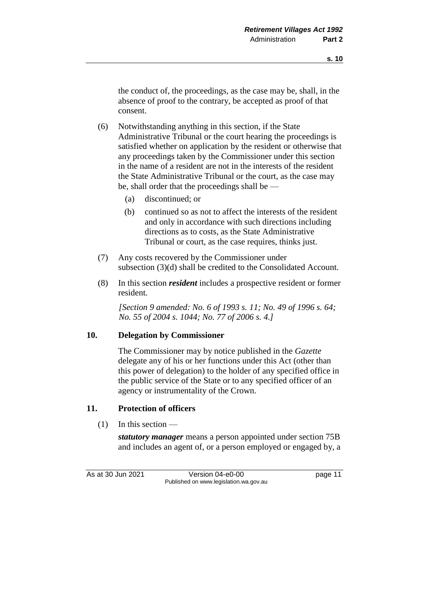the conduct of, the proceedings, as the case may be, shall, in the absence of proof to the contrary, be accepted as proof of that consent.

- (6) Notwithstanding anything in this section, if the State Administrative Tribunal or the court hearing the proceedings is satisfied whether on application by the resident or otherwise that any proceedings taken by the Commissioner under this section in the name of a resident are not in the interests of the resident the State Administrative Tribunal or the court, as the case may be, shall order that the proceedings shall be —
	- (a) discontinued; or
	- (b) continued so as not to affect the interests of the resident and only in accordance with such directions including directions as to costs, as the State Administrative Tribunal or court, as the case requires, thinks just.
- (7) Any costs recovered by the Commissioner under subsection (3)(d) shall be credited to the Consolidated Account.
- (8) In this section *resident* includes a prospective resident or former resident.

*[Section 9 amended: No. 6 of 1993 s. 11; No. 49 of 1996 s. 64; No. 55 of 2004 s. 1044; No. 77 of 2006 s. 4.]*

### **10. Delegation by Commissioner**

The Commissioner may by notice published in the *Gazette* delegate any of his or her functions under this Act (other than this power of delegation) to the holder of any specified office in the public service of the State or to any specified officer of an agency or instrumentality of the Crown.

### **11. Protection of officers**

 $(1)$  In this section —

*statutory manager* means a person appointed under section 75B and includes an agent of, or a person employed or engaged by, a

As at 30 Jun 2021 Version 04-e0-00 page 11 Published on www.legislation.wa.gov.au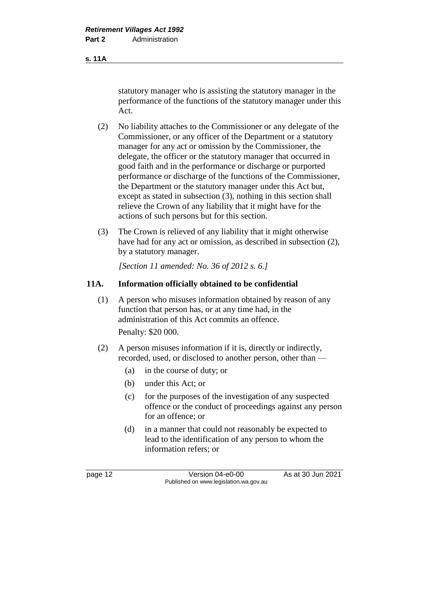**s. 11A**

statutory manager who is assisting the statutory manager in the performance of the functions of the statutory manager under this Act.

- (2) No liability attaches to the Commissioner or any delegate of the Commissioner, or any officer of the Department or a statutory manager for any act or omission by the Commissioner, the delegate, the officer or the statutory manager that occurred in good faith and in the performance or discharge or purported performance or discharge of the functions of the Commissioner, the Department or the statutory manager under this Act but, except as stated in subsection (3), nothing in this section shall relieve the Crown of any liability that it might have for the actions of such persons but for this section.
- (3) The Crown is relieved of any liability that it might otherwise have had for any act or omission, as described in subsection (2), by a statutory manager.

*[Section 11 amended: No. 36 of 2012 s. 6.]*

### **11A. Information officially obtained to be confidential**

- (1) A person who misuses information obtained by reason of any function that person has, or at any time had, in the administration of this Act commits an offence. Penalty: \$20 000.
- (2) A person misuses information if it is, directly or indirectly, recorded, used, or disclosed to another person, other than —
	- (a) in the course of duty; or
	- (b) under this Act; or
	- (c) for the purposes of the investigation of any suspected offence or the conduct of proceedings against any person for an offence; or
	- (d) in a manner that could not reasonably be expected to lead to the identification of any person to whom the information refers; or

page 12 Version 04-e0-00 As at 30 Jun 2021 Published on www.legislation.wa.gov.au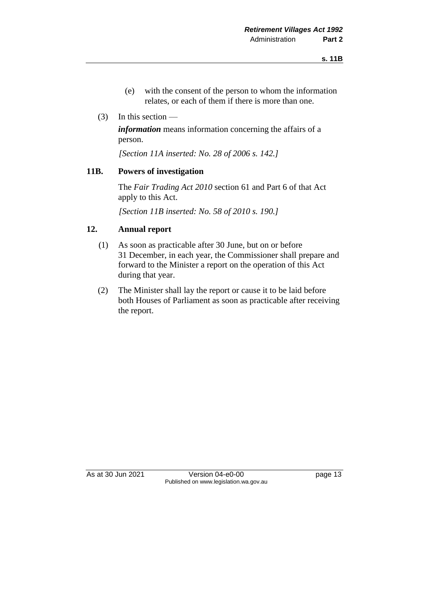- (e) with the consent of the person to whom the information relates, or each of them if there is more than one.
- (3) In this section —

*information* means information concerning the affairs of a person.

*[Section 11A inserted: No. 28 of 2006 s. 142.]*

### **11B. Powers of investigation**

The *Fair Trading Act 2010* section 61 and Part 6 of that Act apply to this Act.

*[Section 11B inserted: No. 58 of 2010 s. 190.]*

### **12. Annual report**

- (1) As soon as practicable after 30 June, but on or before 31 December, in each year, the Commissioner shall prepare and forward to the Minister a report on the operation of this Act during that year.
- (2) The Minister shall lay the report or cause it to be laid before both Houses of Parliament as soon as practicable after receiving the report.

As at 30 Jun 2021 Version 04-e0-00 Page 13 Published on www.legislation.wa.gov.au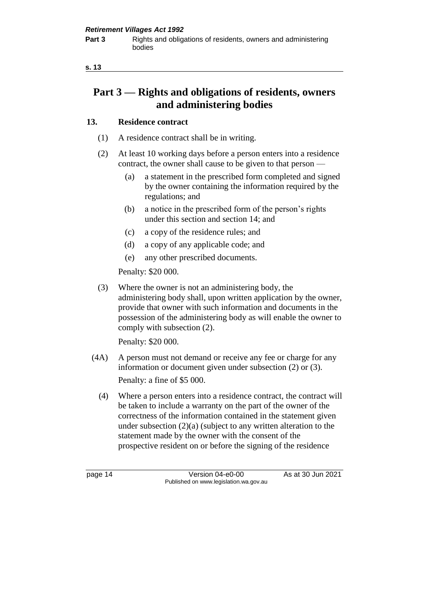## **Part 3 — Rights and obligations of residents, owners and administering bodies**

### **13. Residence contract**

- (1) A residence contract shall be in writing.
- (2) At least 10 working days before a person enters into a residence contract, the owner shall cause to be given to that person —
	- (a) a statement in the prescribed form completed and signed by the owner containing the information required by the regulations; and
	- (b) a notice in the prescribed form of the person's rights under this section and section 14; and
	- (c) a copy of the residence rules; and
	- (d) a copy of any applicable code; and
	- (e) any other prescribed documents.

Penalty: \$20 000.

(3) Where the owner is not an administering body, the administering body shall, upon written application by the owner, provide that owner with such information and documents in the possession of the administering body as will enable the owner to comply with subsection (2).

Penalty: \$20 000.

- (4A) A person must not demand or receive any fee or charge for any information or document given under subsection (2) or (3). Penalty: a fine of \$5 000.
	- (4) Where a person enters into a residence contract, the contract will be taken to include a warranty on the part of the owner of the correctness of the information contained in the statement given under subsection (2)(a) (subject to any written alteration to the statement made by the owner with the consent of the prospective resident on or before the signing of the residence

page 14 Version 04-e0-00 As at 30 Jun 2021 Published on www.legislation.wa.gov.au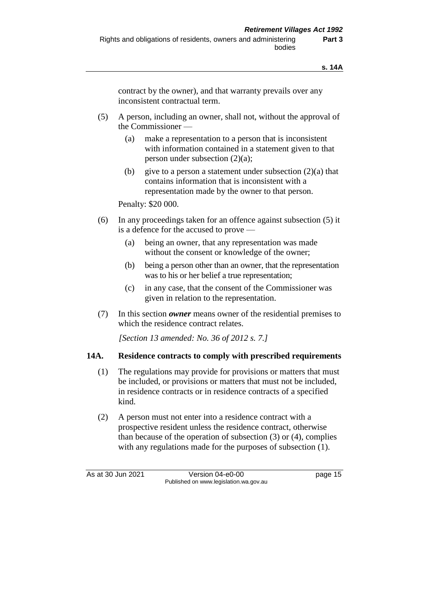contract by the owner), and that warranty prevails over any inconsistent contractual term.

- (5) A person, including an owner, shall not, without the approval of the Commissioner —
	- (a) make a representation to a person that is inconsistent with information contained in a statement given to that person under subsection (2)(a);
	- (b) give to a person a statement under subsection  $(2)(a)$  that contains information that is inconsistent with a representation made by the owner to that person.

Penalty: \$20 000.

- (6) In any proceedings taken for an offence against subsection (5) it is a defence for the accused to prove —
	- (a) being an owner, that any representation was made without the consent or knowledge of the owner;
	- (b) being a person other than an owner, that the representation was to his or her belief a true representation;
	- (c) in any case, that the consent of the Commissioner was given in relation to the representation.
- (7) In this section *owner* means owner of the residential premises to which the residence contract relates.

*[Section 13 amended: No. 36 of 2012 s. 7.]*

### **14A. Residence contracts to comply with prescribed requirements**

- (1) The regulations may provide for provisions or matters that must be included, or provisions or matters that must not be included, in residence contracts or in residence contracts of a specified kind.
- (2) A person must not enter into a residence contract with a prospective resident unless the residence contract, otherwise than because of the operation of subsection (3) or (4), complies with any regulations made for the purposes of subsection (1).

As at 30 Jun 2021 Version 04-e0-00 page 15 Published on www.legislation.wa.gov.au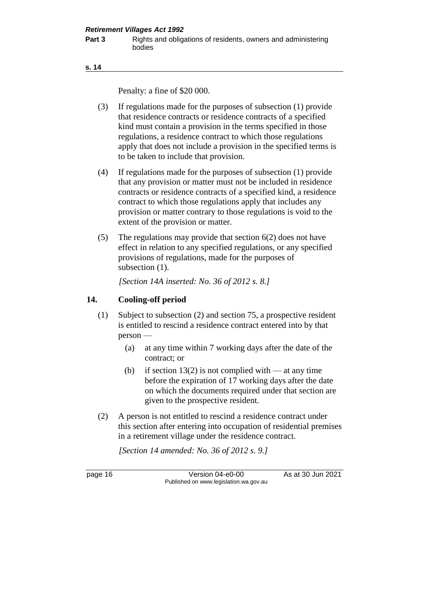```
s. 14
```
Penalty: a fine of \$20 000.

- (3) If regulations made for the purposes of subsection (1) provide that residence contracts or residence contracts of a specified kind must contain a provision in the terms specified in those regulations, a residence contract to which those regulations apply that does not include a provision in the specified terms is to be taken to include that provision.
- (4) If regulations made for the purposes of subsection (1) provide that any provision or matter must not be included in residence contracts or residence contracts of a specified kind, a residence contract to which those regulations apply that includes any provision or matter contrary to those regulations is void to the extent of the provision or matter.
- (5) The regulations may provide that section 6(2) does not have effect in relation to any specified regulations, or any specified provisions of regulations, made for the purposes of subsection  $(1)$ .

*[Section 14A inserted: No. 36 of 2012 s. 8.]*

### **14. Cooling-off period**

- (1) Subject to subsection (2) and section 75, a prospective resident is entitled to rescind a residence contract entered into by that person —
	- (a) at any time within 7 working days after the date of the contract; or
	- (b) if section 13(2) is not complied with at any time before the expiration of 17 working days after the date on which the documents required under that section are given to the prospective resident.
- (2) A person is not entitled to rescind a residence contract under this section after entering into occupation of residential premises in a retirement village under the residence contract.

*[Section 14 amended: No. 36 of 2012 s. 9.]*

page 16 **Version 04-e0-00** As at 30 Jun 2021 Published on www.legislation.wa.gov.au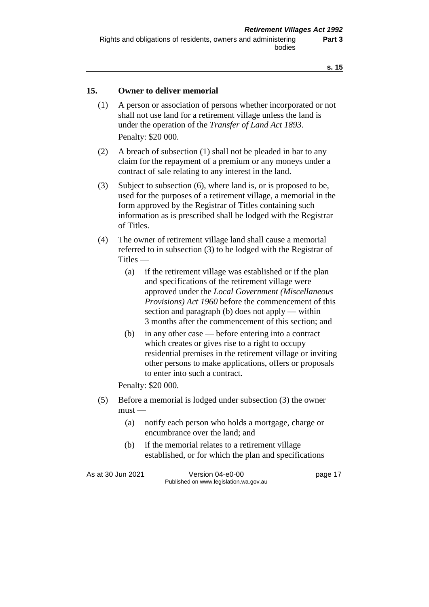### **15. Owner to deliver memorial**

- (1) A person or association of persons whether incorporated or not shall not use land for a retirement village unless the land is under the operation of the *Transfer of Land Act 1893*. Penalty: \$20 000.
- (2) A breach of subsection (1) shall not be pleaded in bar to any claim for the repayment of a premium or any moneys under a contract of sale relating to any interest in the land.
- (3) Subject to subsection (6), where land is, or is proposed to be, used for the purposes of a retirement village, a memorial in the form approved by the Registrar of Titles containing such information as is prescribed shall be lodged with the Registrar of Titles.
- (4) The owner of retirement village land shall cause a memorial referred to in subsection (3) to be lodged with the Registrar of Titles —
	- (a) if the retirement village was established or if the plan and specifications of the retirement village were approved under the *Local Government (Miscellaneous Provisions) Act 1960* before the commencement of this section and paragraph (b) does not apply — within 3 months after the commencement of this section; and
	- (b) in any other case before entering into a contract which creates or gives rise to a right to occupy residential premises in the retirement village or inviting other persons to make applications, offers or proposals to enter into such a contract.

Penalty: \$20 000.

- (5) Before a memorial is lodged under subsection (3) the owner  $must -$ 
	- (a) notify each person who holds a mortgage, charge or encumbrance over the land; and
	- (b) if the memorial relates to a retirement village established, or for which the plan and specifications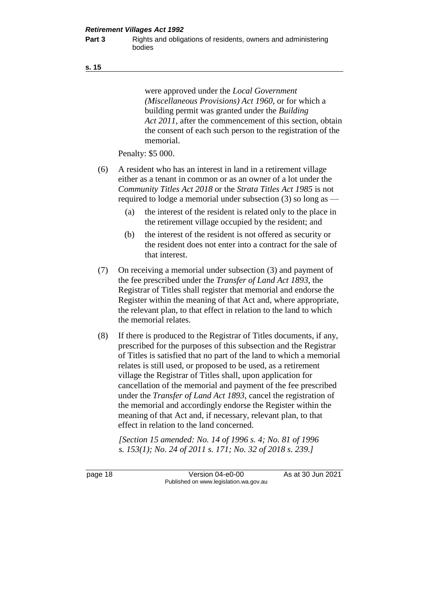**Part 3** Rights and obligations of residents, owners and administering bodies

were approved under the *Local Government (Miscellaneous Provisions) Act 1960*, or for which a building permit was granted under the *Building Act 2011*, after the commencement of this section, obtain the consent of each such person to the registration of the memorial.

Penalty: \$5 000.

- (6) A resident who has an interest in land in a retirement village either as a tenant in common or as an owner of a lot under the *Community Titles Act 2018* or the *Strata Titles Act 1985* is not required to lodge a memorial under subsection (3) so long as —
	- (a) the interest of the resident is related only to the place in the retirement village occupied by the resident; and
	- (b) the interest of the resident is not offered as security or the resident does not enter into a contract for the sale of that interest.
- (7) On receiving a memorial under subsection (3) and payment of the fee prescribed under the *Transfer of Land Act 1893*, the Registrar of Titles shall register that memorial and endorse the Register within the meaning of that Act and, where appropriate, the relevant plan, to that effect in relation to the land to which the memorial relates.
- (8) If there is produced to the Registrar of Titles documents, if any, prescribed for the purposes of this subsection and the Registrar of Titles is satisfied that no part of the land to which a memorial relates is still used, or proposed to be used, as a retirement village the Registrar of Titles shall, upon application for cancellation of the memorial and payment of the fee prescribed under the *Transfer of Land Act 1893*, cancel the registration of the memorial and accordingly endorse the Register within the meaning of that Act and, if necessary, relevant plan, to that effect in relation to the land concerned.

*[Section 15 amended: No. 14 of 1996 s. 4; No. 81 of 1996 s. 153(1); No. 24 of 2011 s. 171; No. 32 of 2018 s. 239.]*

page 18 **Version 04-e0-00** As at 30 Jun 2021 Published on www.legislation.wa.gov.au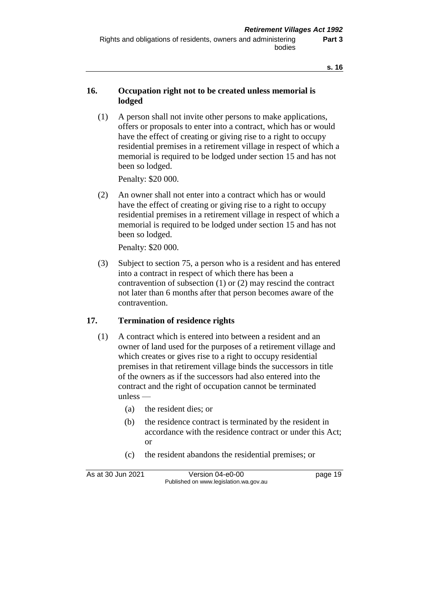### **16. Occupation right not to be created unless memorial is lodged**

(1) A person shall not invite other persons to make applications, offers or proposals to enter into a contract, which has or would have the effect of creating or giving rise to a right to occupy residential premises in a retirement village in respect of which a memorial is required to be lodged under section 15 and has not been so lodged.

Penalty: \$20 000.

(2) An owner shall not enter into a contract which has or would have the effect of creating or giving rise to a right to occupy residential premises in a retirement village in respect of which a memorial is required to be lodged under section 15 and has not been so lodged.

Penalty: \$20 000.

(3) Subject to section 75, a person who is a resident and has entered into a contract in respect of which there has been a contravention of subsection (1) or (2) may rescind the contract not later than 6 months after that person becomes aware of the contravention.

### **17. Termination of residence rights**

- (1) A contract which is entered into between a resident and an owner of land used for the purposes of a retirement village and which creates or gives rise to a right to occupy residential premises in that retirement village binds the successors in title of the owners as if the successors had also entered into the contract and the right of occupation cannot be terminated unless —
	- (a) the resident dies; or
	- (b) the residence contract is terminated by the resident in accordance with the residence contract or under this Act; or
	- (c) the resident abandons the residential premises; or

| As at 30 Jun 2021 | Version 04-e0-00                       | page 19 |
|-------------------|----------------------------------------|---------|
|                   | Published on www.legislation.wa.gov.au |         |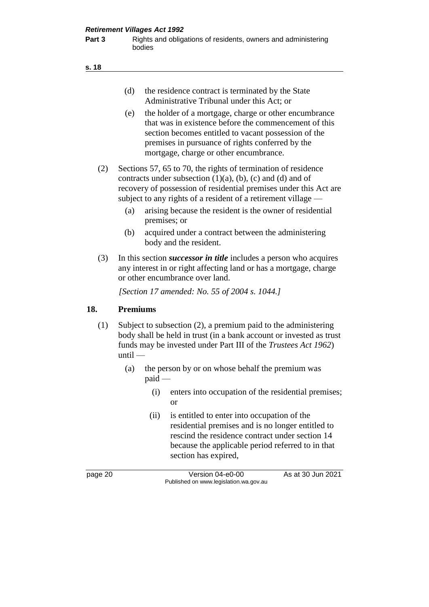| (d) | the residence contract is terminated by the State |
|-----|---------------------------------------------------|
|     | Administrative Tribunal under this Act; or        |

- (e) the holder of a mortgage, charge or other encumbrance that was in existence before the commencement of this section becomes entitled to vacant possession of the premises in pursuance of rights conferred by the mortgage, charge or other encumbrance.
- (2) Sections 57, 65 to 70, the rights of termination of residence contracts under subsection  $(1)(a)$ ,  $(b)$ ,  $(c)$  and  $(d)$  and of recovery of possession of residential premises under this Act are subject to any rights of a resident of a retirement village —
	- (a) arising because the resident is the owner of residential premises; or
	- (b) acquired under a contract between the administering body and the resident.
- (3) In this section *successor in title* includes a person who acquires any interest in or right affecting land or has a mortgage, charge or other encumbrance over land.

*[Section 17 amended: No. 55 of 2004 s. 1044.]*

### **18. Premiums**

- (1) Subject to subsection (2), a premium paid to the administering body shall be held in trust (in a bank account or invested as trust funds may be invested under Part III of the *Trustees Act 1962*) until —
	- (a) the person by or on whose behalf the premium was paid —
		- (i) enters into occupation of the residential premises; or
		- (ii) is entitled to enter into occupation of the residential premises and is no longer entitled to rescind the residence contract under section 14 because the applicable period referred to in that section has expired,

page 20 Version 04-e0-00 As at 30 Jun 2021 Published on www.legislation.wa.gov.au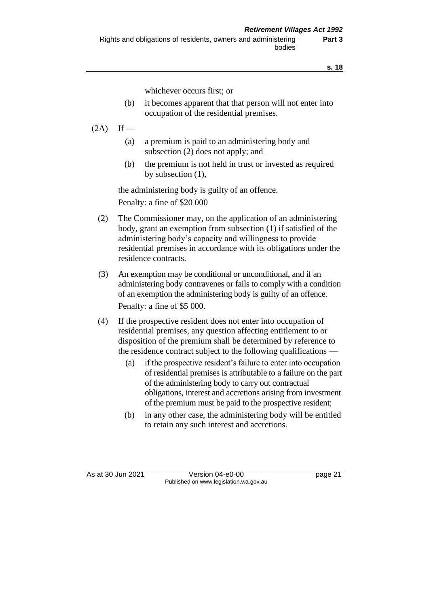whichever occurs first; or

- (b) it becomes apparent that that person will not enter into occupation of the residential premises.
- $(2A)$  If
	- (a) a premium is paid to an administering body and subsection (2) does not apply; and
	- (b) the premium is not held in trust or invested as required by subsection (1),

the administering body is guilty of an offence. Penalty: a fine of \$20 000

- (2) The Commissioner may, on the application of an administering body, grant an exemption from subsection (1) if satisfied of the administering body's capacity and willingness to provide residential premises in accordance with its obligations under the residence contracts.
- (3) An exemption may be conditional or unconditional, and if an administering body contravenes or fails to comply with a condition of an exemption the administering body is guilty of an offence. Penalty: a fine of \$5 000.
- (4) If the prospective resident does not enter into occupation of residential premises, any question affecting entitlement to or disposition of the premium shall be determined by reference to the residence contract subject to the following qualifications —
	- (a) if the prospective resident's failure to enter into occupation of residential premises is attributable to a failure on the part of the administering body to carry out contractual obligations, interest and accretions arising from investment of the premium must be paid to the prospective resident;
	- (b) in any other case, the administering body will be entitled to retain any such interest and accretions.

As at 30 Jun 2021 Version 04-e0-00 page 21 Published on www.legislation.wa.gov.au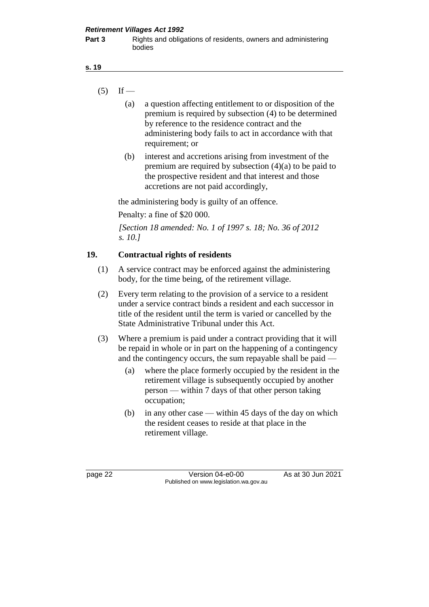- $(5)$  If
	- (a) a question affecting entitlement to or disposition of the premium is required by subsection (4) to be determined by reference to the residence contract and the administering body fails to act in accordance with that requirement; or
	- (b) interest and accretions arising from investment of the premium are required by subsection (4)(a) to be paid to the prospective resident and that interest and those accretions are not paid accordingly,

the administering body is guilty of an offence.

Penalty: a fine of \$20 000.

*[Section 18 amended: No. 1 of 1997 s. 18; No. 36 of 2012 s. 10.]*

### **19. Contractual rights of residents**

- (1) A service contract may be enforced against the administering body, for the time being, of the retirement village.
- (2) Every term relating to the provision of a service to a resident under a service contract binds a resident and each successor in title of the resident until the term is varied or cancelled by the State Administrative Tribunal under this Act.
- (3) Where a premium is paid under a contract providing that it will be repaid in whole or in part on the happening of a contingency and the contingency occurs, the sum repayable shall be paid —
	- (a) where the place formerly occupied by the resident in the retirement village is subsequently occupied by another person — within 7 days of that other person taking occupation;
	- (b) in any other case within 45 days of the day on which the resident ceases to reside at that place in the retirement village.

page 22 Version 04-e0-00 As at 30 Jun 2021 Published on www.legislation.wa.gov.au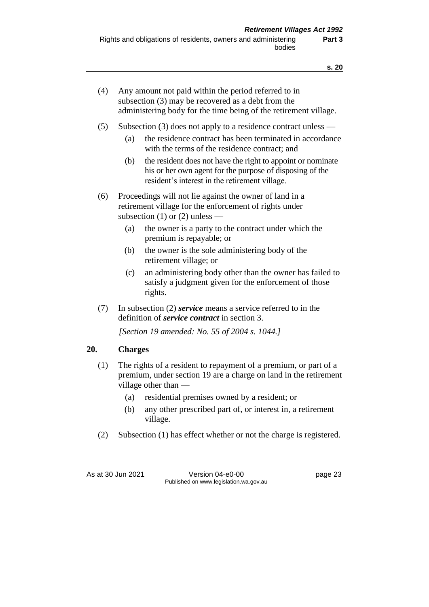| (4) | Any amount not paid within the period referred to in<br>subsection (3) may be recovered as a debt from the<br>administering body for the time being of the retirement village. |
|-----|--------------------------------------------------------------------------------------------------------------------------------------------------------------------------------|
|     |                                                                                                                                                                                |

- (5) Subsection (3) does not apply to a residence contract unless
	- (a) the residence contract has been terminated in accordance with the terms of the residence contract; and
	- (b) the resident does not have the right to appoint or nominate his or her own agent for the purpose of disposing of the resident's interest in the retirement village.
- (6) Proceedings will not lie against the owner of land in a retirement village for the enforcement of rights under subsection  $(1)$  or  $(2)$  unless —
	- (a) the owner is a party to the contract under which the premium is repayable; or
	- (b) the owner is the sole administering body of the retirement village; or
	- (c) an administering body other than the owner has failed to satisfy a judgment given for the enforcement of those rights.
- (7) In subsection (2) *service* means a service referred to in the definition of *service contract* in section 3.

*[Section 19 amended: No. 55 of 2004 s. 1044.]*

### **20. Charges**

- (1) The rights of a resident to repayment of a premium, or part of a premium, under section 19 are a charge on land in the retirement village other than —
	- (a) residential premises owned by a resident; or
	- (b) any other prescribed part of, or interest in, a retirement village.
- (2) Subsection (1) has effect whether or not the charge is registered.

As at 30 Jun 2021 Version 04-e0-00 page 23 Published on www.legislation.wa.gov.au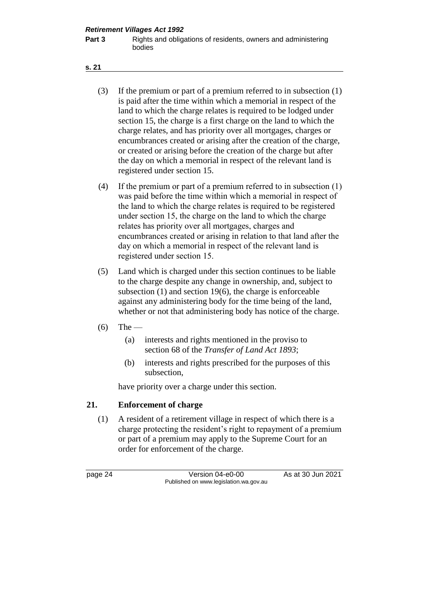- (3) If the premium or part of a premium referred to in subsection (1) is paid after the time within which a memorial in respect of the land to which the charge relates is required to be lodged under section 15, the charge is a first charge on the land to which the charge relates, and has priority over all mortgages, charges or encumbrances created or arising after the creation of the charge, or created or arising before the creation of the charge but after the day on which a memorial in respect of the relevant land is registered under section 15.
- (4) If the premium or part of a premium referred to in subsection (1) was paid before the time within which a memorial in respect of the land to which the charge relates is required to be registered under section 15, the charge on the land to which the charge relates has priority over all mortgages, charges and encumbrances created or arising in relation to that land after the day on which a memorial in respect of the relevant land is registered under section 15.
- (5) Land which is charged under this section continues to be liable to the charge despite any change in ownership, and, subject to subsection (1) and section 19(6), the charge is enforceable against any administering body for the time being of the land, whether or not that administering body has notice of the charge.
- $(6)$  The
	- (a) interests and rights mentioned in the proviso to section 68 of the *Transfer of Land Act 1893*;
	- (b) interests and rights prescribed for the purposes of this subsection,

have priority over a charge under this section.

### **21. Enforcement of charge**

(1) A resident of a retirement village in respect of which there is a charge protecting the resident's right to repayment of a premium or part of a premium may apply to the Supreme Court for an order for enforcement of the charge.

page 24 Version 04-e0-00 As at 30 Jun 2021 Published on www.legislation.wa.gov.au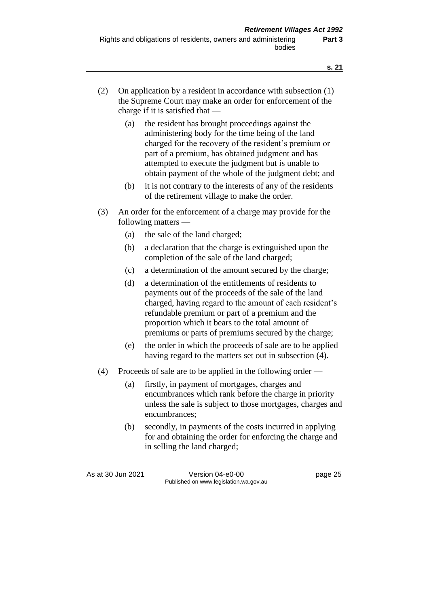- (2) On application by a resident in accordance with subsection (1) the Supreme Court may make an order for enforcement of the charge if it is satisfied that —
	- (a) the resident has brought proceedings against the administering body for the time being of the land charged for the recovery of the resident's premium or part of a premium, has obtained judgment and has attempted to execute the judgment but is unable to obtain payment of the whole of the judgment debt; and
	- (b) it is not contrary to the interests of any of the residents of the retirement village to make the order.
- (3) An order for the enforcement of a charge may provide for the following matters —
	- (a) the sale of the land charged;
	- (b) a declaration that the charge is extinguished upon the completion of the sale of the land charged;
	- (c) a determination of the amount secured by the charge;
	- (d) a determination of the entitlements of residents to payments out of the proceeds of the sale of the land charged, having regard to the amount of each resident's refundable premium or part of a premium and the proportion which it bears to the total amount of premiums or parts of premiums secured by the charge;
	- (e) the order in which the proceeds of sale are to be applied having regard to the matters set out in subsection (4).
- (4) Proceeds of sale are to be applied in the following order
	- (a) firstly, in payment of mortgages, charges and encumbrances which rank before the charge in priority unless the sale is subject to those mortgages, charges and encumbrances;
	- (b) secondly, in payments of the costs incurred in applying for and obtaining the order for enforcing the charge and in selling the land charged;

As at 30 Jun 2021 Version 04-e0-00 Page 25 Published on www.legislation.wa.gov.au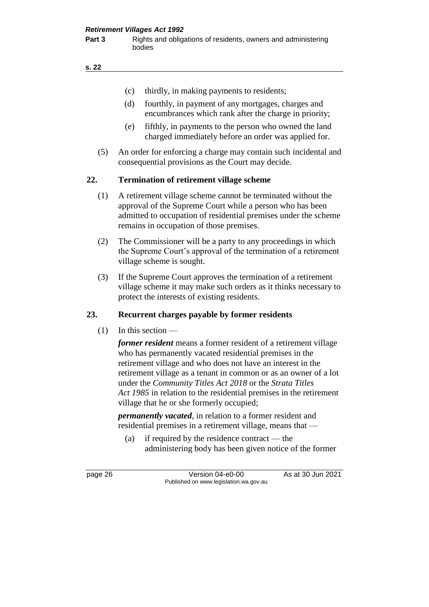- (c) thirdly, in making payments to residents;
- (d) fourthly, in payment of any mortgages, charges and encumbrances which rank after the charge in priority;
- (e) fifthly, in payments to the person who owned the land charged immediately before an order was applied for.
- (5) An order for enforcing a charge may contain such incidental and consequential provisions as the Court may decide.

### **22. Termination of retirement village scheme**

- (1) A retirement village scheme cannot be terminated without the approval of the Supreme Court while a person who has been admitted to occupation of residential premises under the scheme remains in occupation of those premises.
- (2) The Commissioner will be a party to any proceedings in which the Supreme Court's approval of the termination of a retirement village scheme is sought.
- (3) If the Supreme Court approves the termination of a retirement village scheme it may make such orders as it thinks necessary to protect the interests of existing residents.

### **23. Recurrent charges payable by former residents**

 $(1)$  In this section —

*former resident* means a former resident of a retirement village who has permanently vacated residential premises in the retirement village and who does not have an interest in the retirement village as a tenant in common or as an owner of a lot under the *Community Titles Act 2018* or the *Strata Titles Act 1985* in relation to the residential premises in the retirement village that he or she formerly occupied;

*permanently vacated*, in relation to a former resident and residential premises in a retirement village, means that —

(a) if required by the residence contract — the administering body has been given notice of the former

page 26 Version 04-e0-00 As at 30 Jun 2021 Published on www.legislation.wa.gov.au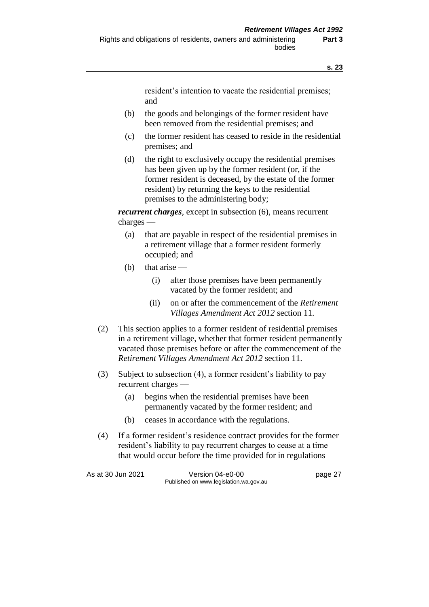resident's intention to vacate the residential premises; and

- (b) the goods and belongings of the former resident have been removed from the residential premises; and
- (c) the former resident has ceased to reside in the residential premises; and
- (d) the right to exclusively occupy the residential premises has been given up by the former resident (or, if the former resident is deceased, by the estate of the former resident) by returning the keys to the residential premises to the administering body;

*recurrent charges*, except in subsection (6), means recurrent charges —

- (a) that are payable in respect of the residential premises in a retirement village that a former resident formerly occupied; and
- (b) that arise
	- (i) after those premises have been permanently vacated by the former resident; and
	- (ii) on or after the commencement of the *Retirement Villages Amendment Act 2012* section 11.
- (2) This section applies to a former resident of residential premises in a retirement village, whether that former resident permanently vacated those premises before or after the commencement of the *Retirement Villages Amendment Act 2012* section 11.
- (3) Subject to subsection (4), a former resident's liability to pay recurrent charges —
	- (a) begins when the residential premises have been permanently vacated by the former resident; and
	- (b) ceases in accordance with the regulations.
- (4) If a former resident's residence contract provides for the former resident's liability to pay recurrent charges to cease at a time that would occur before the time provided for in regulations

As at 30 Jun 2021 Version 04-e0-00 page 27 Published on www.legislation.wa.gov.au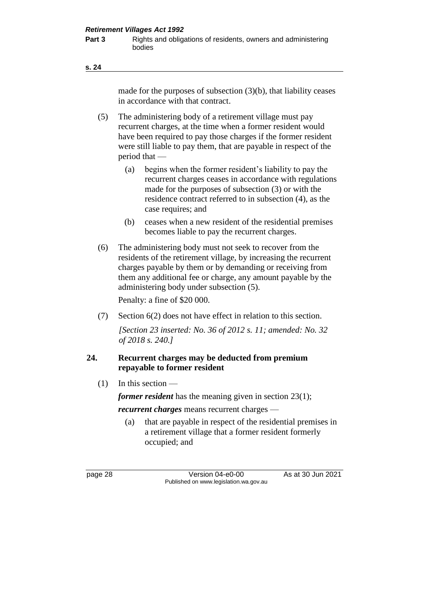made for the purposes of subsection (3)(b), that liability ceases in accordance with that contract.

- (5) The administering body of a retirement village must pay recurrent charges, at the time when a former resident would have been required to pay those charges if the former resident were still liable to pay them, that are payable in respect of the period that —
	- (a) begins when the former resident's liability to pay the recurrent charges ceases in accordance with regulations made for the purposes of subsection (3) or with the residence contract referred to in subsection (4), as the case requires; and
	- (b) ceases when a new resident of the residential premises becomes liable to pay the recurrent charges.
- (6) The administering body must not seek to recover from the residents of the retirement village, by increasing the recurrent charges payable by them or by demanding or receiving from them any additional fee or charge, any amount payable by the administering body under subsection (5).

Penalty: a fine of \$20 000.

(7) Section 6(2) does not have effect in relation to this section.

*[Section 23 inserted: No. 36 of 2012 s. 11; amended: No. 32 of 2018 s. 240.]*

### **24. Recurrent charges may be deducted from premium repayable to former resident**

(1) In this section —

*former resident* has the meaning given in section 23(1); *recurrent charges* means recurrent charges —

(a) that are payable in respect of the residential premises in a retirement village that a former resident formerly occupied; and

page 28 Version 04-e0-00 As at 30 Jun 2021 Published on www.legislation.wa.gov.au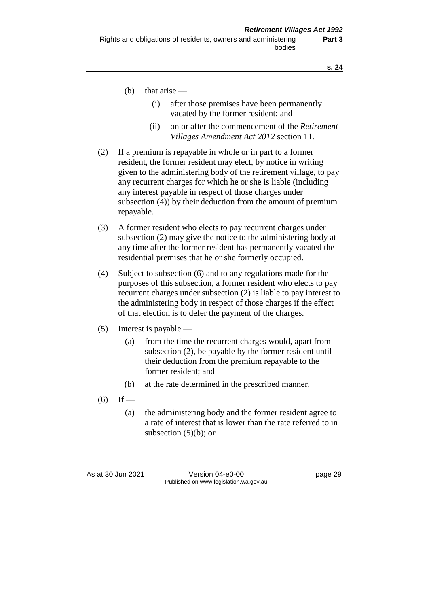- (b) that arise  $-$ 
	- (i) after those premises have been permanently vacated by the former resident; and
	- (ii) on or after the commencement of the *Retirement Villages Amendment Act 2012* section 11.
- (2) If a premium is repayable in whole or in part to a former resident, the former resident may elect, by notice in writing given to the administering body of the retirement village, to pay any recurrent charges for which he or she is liable (including any interest payable in respect of those charges under subsection (4)) by their deduction from the amount of premium repayable.
- (3) A former resident who elects to pay recurrent charges under subsection (2) may give the notice to the administering body at any time after the former resident has permanently vacated the residential premises that he or she formerly occupied.
- (4) Subject to subsection (6) and to any regulations made for the purposes of this subsection, a former resident who elects to pay recurrent charges under subsection (2) is liable to pay interest to the administering body in respect of those charges if the effect of that election is to defer the payment of the charges.
- (5) Interest is payable
	- (a) from the time the recurrent charges would, apart from subsection (2), be payable by the former resident until their deduction from the premium repayable to the former resident; and
	- (b) at the rate determined in the prescribed manner.
- $(6)$  If
	- (a) the administering body and the former resident agree to a rate of interest that is lower than the rate referred to in subsection  $(5)(b)$ ; or

As at 30 Jun 2021 **Version 04-e0-00** page 29 Published on www.legislation.wa.gov.au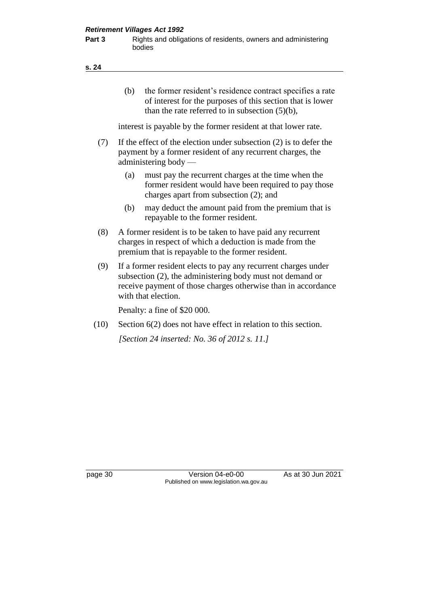**Part 3** Rights and obligations of residents, owners and administering bodies

(b) the former resident's residence contract specifies a rate of interest for the purposes of this section that is lower than the rate referred to in subsection (5)(b),

interest is payable by the former resident at that lower rate.

- (7) If the effect of the election under subsection (2) is to defer the payment by a former resident of any recurrent charges, the administering body —
	- (a) must pay the recurrent charges at the time when the former resident would have been required to pay those charges apart from subsection (2); and
	- (b) may deduct the amount paid from the premium that is repayable to the former resident.
- (8) A former resident is to be taken to have paid any recurrent charges in respect of which a deduction is made from the premium that is repayable to the former resident.
- (9) If a former resident elects to pay any recurrent charges under subsection (2), the administering body must not demand or receive payment of those charges otherwise than in accordance with that election.

Penalty: a fine of \$20 000.

(10) Section 6(2) does not have effect in relation to this section. *[Section 24 inserted: No. 36 of 2012 s. 11.]*

page 30 Version 04-e0-00 As at 30 Jun 2021 Published on www.legislation.wa.gov.au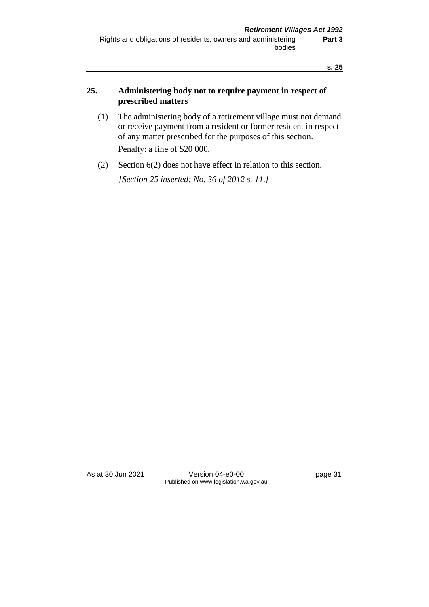## **25. Administering body not to require payment in respect of prescribed matters**

- (1) The administering body of a retirement village must not demand or receive payment from a resident or former resident in respect of any matter prescribed for the purposes of this section. Penalty: a fine of \$20 000.
- (2) Section 6(2) does not have effect in relation to this section. *[Section 25 inserted: No. 36 of 2012 s. 11.]*

As at 30 Jun 2021 Version 04-e0-00 Page 31 Published on www.legislation.wa.gov.au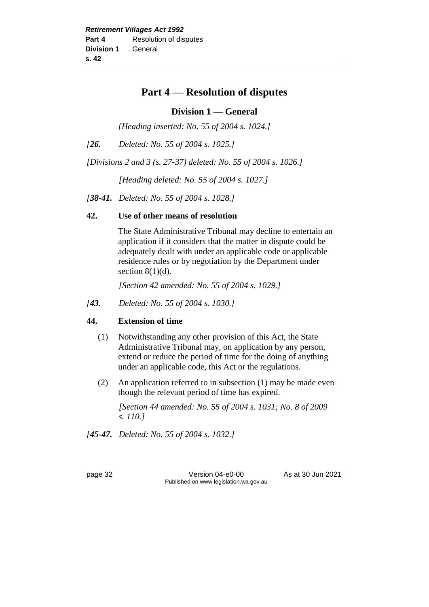# **Part 4 — Resolution of disputes**

# **Division 1 — General**

*[Heading inserted: No. 55 of 2004 s. 1024.]*

*[26. Deleted: No. 55 of 2004 s. 1025.]*

*[Divisions 2 and 3 (s. 27-37) deleted: No. 55 of 2004 s. 1026.]*

*[Heading deleted: No. 55 of 2004 s. 1027.]*

*[38-41. Deleted: No. 55 of 2004 s. 1028.]*

## **42. Use of other means of resolution**

The State Administrative Tribunal may decline to entertain an application if it considers that the matter in dispute could be adequately dealt with under an applicable code or applicable residence rules or by negotiation by the Department under section  $8(1)(d)$ .

*[Section 42 amended: No. 55 of 2004 s. 1029.]*

*[43. Deleted: No. 55 of 2004 s. 1030.]*

# **44. Extension of time**

- (1) Notwithstanding any other provision of this Act, the State Administrative Tribunal may, on application by any person, extend or reduce the period of time for the doing of anything under an applicable code, this Act or the regulations.
- (2) An application referred to in subsection (1) may be made even though the relevant period of time has expired.

*[Section 44 amended: No. 55 of 2004 s. 1031; No. 8 of 2009 s. 110.]*

*[45-47. Deleted: No. 55 of 2004 s. 1032.]*

page 32 Version 04-e0-00 As at 30 Jun 2021 Published on www.legislation.wa.gov.au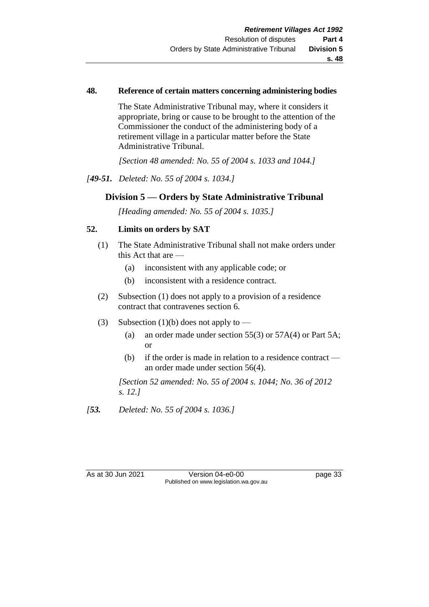### **48. Reference of certain matters concerning administering bodies**

The State Administrative Tribunal may, where it considers it appropriate, bring or cause to be brought to the attention of the Commissioner the conduct of the administering body of a retirement village in a particular matter before the State Administrative Tribunal.

*[Section 48 amended: No. 55 of 2004 s. 1033 and 1044.]*

*[49-51. Deleted: No. 55 of 2004 s. 1034.]*

# **Division 5 — Orders by State Administrative Tribunal**

*[Heading amended: No. 55 of 2004 s. 1035.]*

### **52. Limits on orders by SAT**

- (1) The State Administrative Tribunal shall not make orders under this Act that are —
	- (a) inconsistent with any applicable code; or
	- (b) inconsistent with a residence contract.
- (2) Subsection (1) does not apply to a provision of a residence contract that contravenes section 6.
- (3) Subsection (1)(b) does not apply to
	- (a) an order made under section 55(3) or 57A(4) or Part 5A; or
	- (b) if the order is made in relation to a residence contract an order made under section 56(4).

*[Section 52 amended: No. 55 of 2004 s. 1044; No. 36 of 2012 s. 12.]*

*[53. Deleted: No. 55 of 2004 s. 1036.]*

As at 30 Jun 2021 Version 04-e0-00 page 33 Published on www.legislation.wa.gov.au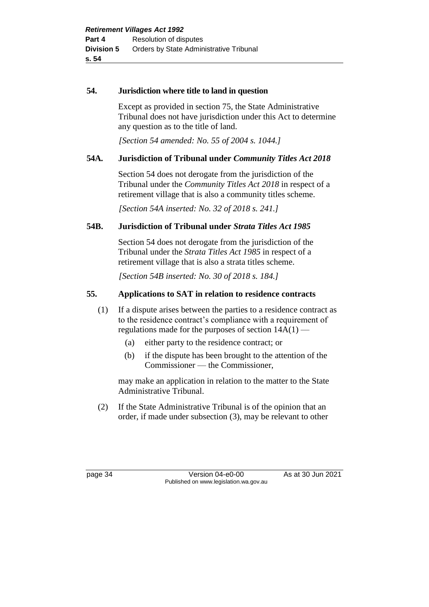### **54. Jurisdiction where title to land in question**

Except as provided in section 75, the State Administrative Tribunal does not have jurisdiction under this Act to determine any question as to the title of land.

*[Section 54 amended: No. 55 of 2004 s. 1044.]*

# **54A. Jurisdiction of Tribunal under** *Community Titles Act 2018*

Section 54 does not derogate from the jurisdiction of the Tribunal under the *Community Titles Act 2018* in respect of a retirement village that is also a community titles scheme.

*[Section 54A inserted: No. 32 of 2018 s. 241.]*

# **54B. Jurisdiction of Tribunal under** *Strata Titles Act 1985*

Section 54 does not derogate from the jurisdiction of the Tribunal under the *Strata Titles Act 1985* in respect of a retirement village that is also a strata titles scheme.

*[Section 54B inserted: No. 30 of 2018 s. 184.]*

## **55. Applications to SAT in relation to residence contracts**

- (1) If a dispute arises between the parties to a residence contract as to the residence contract's compliance with a requirement of regulations made for the purposes of section 14A(1) —
	- (a) either party to the residence contract; or
	- (b) if the dispute has been brought to the attention of the Commissioner — the Commissioner,

may make an application in relation to the matter to the State Administrative Tribunal.

(2) If the State Administrative Tribunal is of the opinion that an order, if made under subsection (3), may be relevant to other

page 34 Version 04-e0-00 As at 30 Jun 2021 Published on www.legislation.wa.gov.au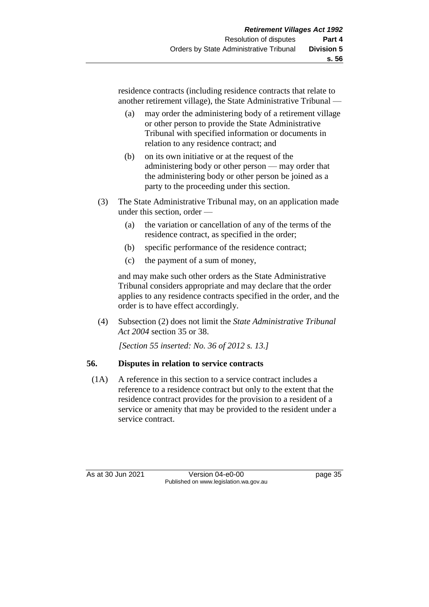residence contracts (including residence contracts that relate to another retirement village), the State Administrative Tribunal —

- (a) may order the administering body of a retirement village or other person to provide the State Administrative Tribunal with specified information or documents in relation to any residence contract; and
- (b) on its own initiative or at the request of the administering body or other person — may order that the administering body or other person be joined as a party to the proceeding under this section.
- (3) The State Administrative Tribunal may, on an application made under this section, order —
	- (a) the variation or cancellation of any of the terms of the residence contract, as specified in the order;
	- (b) specific performance of the residence contract;
	- (c) the payment of a sum of money,

and may make such other orders as the State Administrative Tribunal considers appropriate and may declare that the order applies to any residence contracts specified in the order, and the order is to have effect accordingly.

(4) Subsection (2) does not limit the *State Administrative Tribunal Act 2004* section 35 or 38.

*[Section 55 inserted: No. 36 of 2012 s. 13.]*

# **56. Disputes in relation to service contracts**

(1A) A reference in this section to a service contract includes a reference to a residence contract but only to the extent that the residence contract provides for the provision to a resident of a service or amenity that may be provided to the resident under a service contract.

As at 30 Jun 2021 Version 04-e0-00 Page 35 Published on www.legislation.wa.gov.au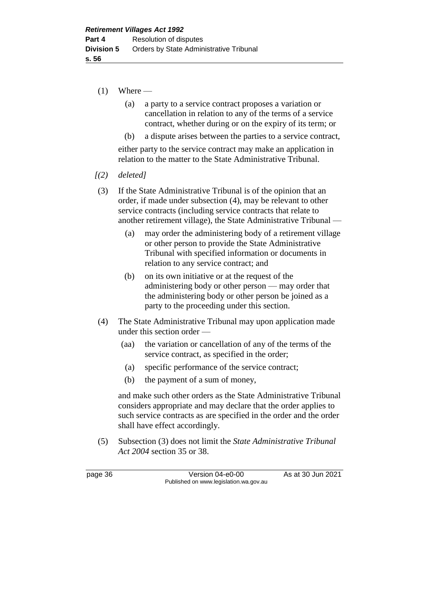- $(1)$  Where
	- (a) a party to a service contract proposes a variation or cancellation in relation to any of the terms of a service contract, whether during or on the expiry of its term; or
	- (b) a dispute arises between the parties to a service contract,

either party to the service contract may make an application in relation to the matter to the State Administrative Tribunal.

- *[(2) deleted]*
- (3) If the State Administrative Tribunal is of the opinion that an order, if made under subsection (4), may be relevant to other service contracts (including service contracts that relate to another retirement village), the State Administrative Tribunal —
	- (a) may order the administering body of a retirement village or other person to provide the State Administrative Tribunal with specified information or documents in relation to any service contract; and
	- (b) on its own initiative or at the request of the administering body or other person — may order that the administering body or other person be joined as a party to the proceeding under this section.
- (4) The State Administrative Tribunal may upon application made under this section order —
	- (aa) the variation or cancellation of any of the terms of the service contract, as specified in the order;
	- (a) specific performance of the service contract;
	- (b) the payment of a sum of money,

and make such other orders as the State Administrative Tribunal considers appropriate and may declare that the order applies to such service contracts as are specified in the order and the order shall have effect accordingly.

(5) Subsection (3) does not limit the *State Administrative Tribunal Act 2004* section 35 or 38.

page 36 Version 04-e0-00 As at 30 Jun 2021 Published on www.legislation.wa.gov.au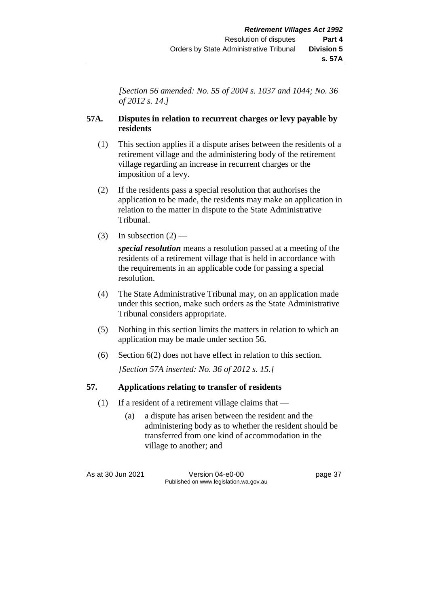*[Section 56 amended: No. 55 of 2004 s. 1037 and 1044; No. 36 of 2012 s. 14.]*

# **57A. Disputes in relation to recurrent charges or levy payable by residents**

- (1) This section applies if a dispute arises between the residents of a retirement village and the administering body of the retirement village regarding an increase in recurrent charges or the imposition of a levy.
- (2) If the residents pass a special resolution that authorises the application to be made, the residents may make an application in relation to the matter in dispute to the State Administrative Tribunal.
- (3) In subsection  $(2)$  —

*special resolution* means a resolution passed at a meeting of the residents of a retirement village that is held in accordance with the requirements in an applicable code for passing a special resolution.

- (4) The State Administrative Tribunal may, on an application made under this section, make such orders as the State Administrative Tribunal considers appropriate.
- (5) Nothing in this section limits the matters in relation to which an application may be made under section 56.
- (6) Section 6(2) does not have effect in relation to this section.

*[Section 57A inserted: No. 36 of 2012 s. 15.]*

# **57. Applications relating to transfer of residents**

- (1) If a resident of a retirement village claims that
	- (a) a dispute has arisen between the resident and the administering body as to whether the resident should be transferred from one kind of accommodation in the village to another; and

As at 30 Jun 2021 Version 04-e0-00 page 37 Published on www.legislation.wa.gov.au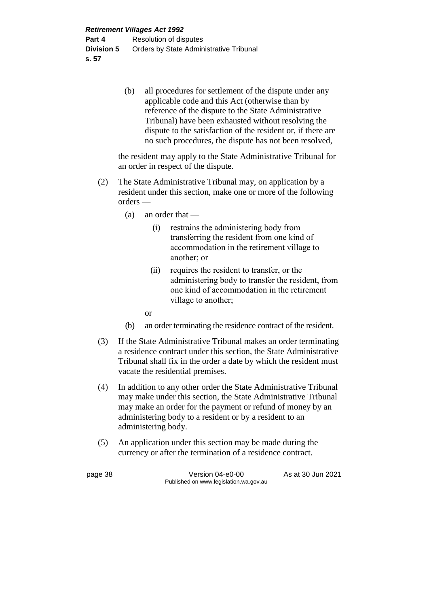(b) all procedures for settlement of the dispute under any applicable code and this Act (otherwise than by reference of the dispute to the State Administrative Tribunal) have been exhausted without resolving the dispute to the satisfaction of the resident or, if there are no such procedures, the dispute has not been resolved,

the resident may apply to the State Administrative Tribunal for an order in respect of the dispute.

- (2) The State Administrative Tribunal may, on application by a resident under this section, make one or more of the following orders —
	- (a) an order that
		- (i) restrains the administering body from transferring the resident from one kind of accommodation in the retirement village to another; or
		- (ii) requires the resident to transfer, or the administering body to transfer the resident, from one kind of accommodation in the retirement village to another;

or

- (b) an order terminating the residence contract of the resident.
- (3) If the State Administrative Tribunal makes an order terminating a residence contract under this section, the State Administrative Tribunal shall fix in the order a date by which the resident must vacate the residential premises.
- (4) In addition to any other order the State Administrative Tribunal may make under this section, the State Administrative Tribunal may make an order for the payment or refund of money by an administering body to a resident or by a resident to an administering body.
- (5) An application under this section may be made during the currency or after the termination of a residence contract.

page 38 Version 04-e0-00 As at 30 Jun 2021 Published on www.legislation.wa.gov.au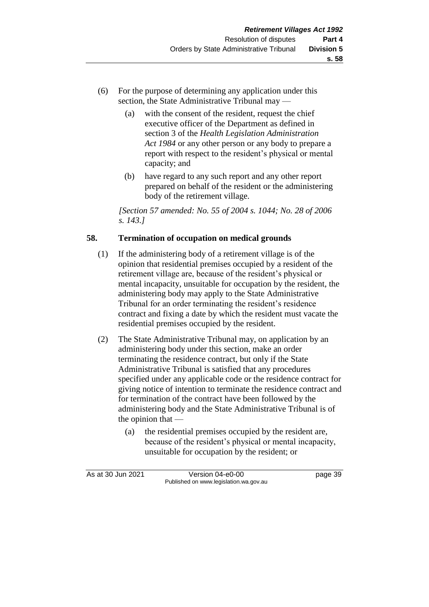- (6) For the purpose of determining any application under this section, the State Administrative Tribunal may —
	- (a) with the consent of the resident, request the chief executive officer of the Department as defined in section 3 of the *Health Legislation Administration Act 1984* or any other person or any body to prepare a report with respect to the resident's physical or mental capacity; and
	- (b) have regard to any such report and any other report prepared on behalf of the resident or the administering body of the retirement village.

*[Section 57 amended: No. 55 of 2004 s. 1044; No. 28 of 2006 s. 143.]*

# **58. Termination of occupation on medical grounds**

- (1) If the administering body of a retirement village is of the opinion that residential premises occupied by a resident of the retirement village are, because of the resident's physical or mental incapacity, unsuitable for occupation by the resident, the administering body may apply to the State Administrative Tribunal for an order terminating the resident's residence contract and fixing a date by which the resident must vacate the residential premises occupied by the resident.
- (2) The State Administrative Tribunal may, on application by an administering body under this section, make an order terminating the residence contract, but only if the State Administrative Tribunal is satisfied that any procedures specified under any applicable code or the residence contract for giving notice of intention to terminate the residence contract and for termination of the contract have been followed by the administering body and the State Administrative Tribunal is of the opinion that —
	- (a) the residential premises occupied by the resident are, because of the resident's physical or mental incapacity, unsuitable for occupation by the resident; or

| As at 30 Jun 2021 | Version 04-e0-00                       | page 39 |
|-------------------|----------------------------------------|---------|
|                   | Published on www.legislation.wa.gov.au |         |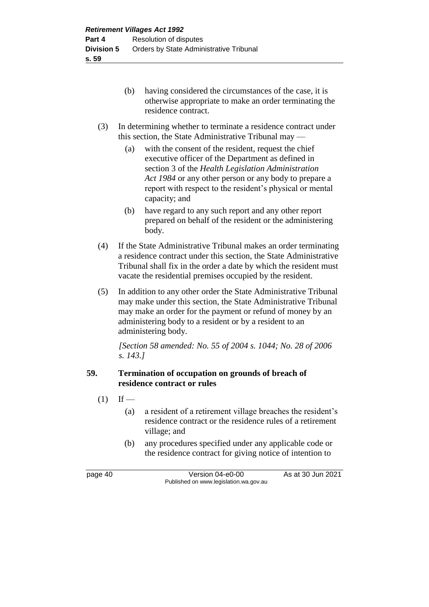- (b) having considered the circumstances of the case, it is otherwise appropriate to make an order terminating the residence contract.
- (3) In determining whether to terminate a residence contract under this section, the State Administrative Tribunal may —
	- (a) with the consent of the resident, request the chief executive officer of the Department as defined in section 3 of the *Health Legislation Administration Act 1984* or any other person or any body to prepare a report with respect to the resident's physical or mental capacity; and
	- (b) have regard to any such report and any other report prepared on behalf of the resident or the administering body.
- (4) If the State Administrative Tribunal makes an order terminating a residence contract under this section, the State Administrative Tribunal shall fix in the order a date by which the resident must vacate the residential premises occupied by the resident.
- (5) In addition to any other order the State Administrative Tribunal may make under this section, the State Administrative Tribunal may make an order for the payment or refund of money by an administering body to a resident or by a resident to an administering body.

*[Section 58 amended: No. 55 of 2004 s. 1044; No. 28 of 2006 s. 143.]*

# **59. Termination of occupation on grounds of breach of residence contract or rules**

- $(1)$  If
	- (a) a resident of a retirement village breaches the resident's residence contract or the residence rules of a retirement village; and
	- (b) any procedures specified under any applicable code or the residence contract for giving notice of intention to

page 40 Version 04-e0-00 As at 30 Jun 2021 Published on www.legislation.wa.gov.au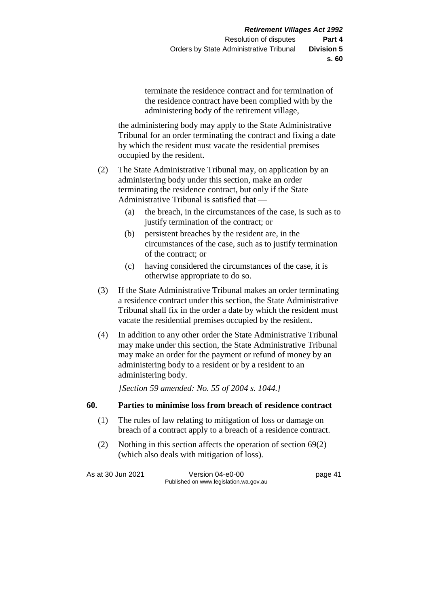terminate the residence contract and for termination of the residence contract have been complied with by the administering body of the retirement village,

the administering body may apply to the State Administrative Tribunal for an order terminating the contract and fixing a date by which the resident must vacate the residential premises occupied by the resident.

- (2) The State Administrative Tribunal may, on application by an administering body under this section, make an order terminating the residence contract, but only if the State Administrative Tribunal is satisfied that —
	- (a) the breach, in the circumstances of the case, is such as to justify termination of the contract; or
	- (b) persistent breaches by the resident are, in the circumstances of the case, such as to justify termination of the contract; or
	- (c) having considered the circumstances of the case, it is otherwise appropriate to do so.
- (3) If the State Administrative Tribunal makes an order terminating a residence contract under this section, the State Administrative Tribunal shall fix in the order a date by which the resident must vacate the residential premises occupied by the resident.
- (4) In addition to any other order the State Administrative Tribunal may make under this section, the State Administrative Tribunal may make an order for the payment or refund of money by an administering body to a resident or by a resident to an administering body.

*[Section 59 amended: No. 55 of 2004 s. 1044.]*

### **60. Parties to minimise loss from breach of residence contract**

- (1) The rules of law relating to mitigation of loss or damage on breach of a contract apply to a breach of a residence contract.
- (2) Nothing in this section affects the operation of section 69(2) (which also deals with mitigation of loss).

As at 30 Jun 2021 Version 04-e0-00 page 41 Published on www.legislation.wa.gov.au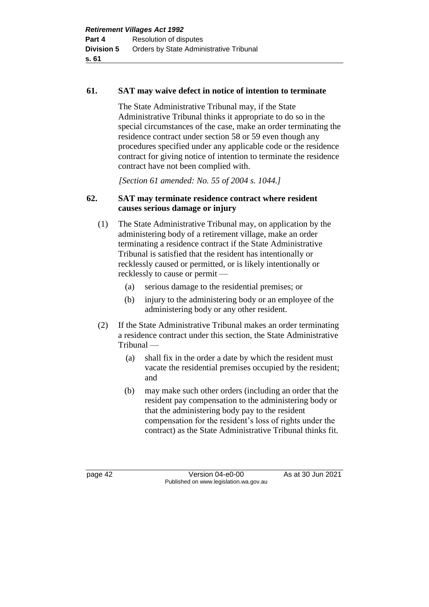### **61. SAT may waive defect in notice of intention to terminate**

The State Administrative Tribunal may, if the State Administrative Tribunal thinks it appropriate to do so in the special circumstances of the case, make an order terminating the residence contract under section 58 or 59 even though any procedures specified under any applicable code or the residence contract for giving notice of intention to terminate the residence contract have not been complied with.

*[Section 61 amended: No. 55 of 2004 s. 1044.]*

# **62. SAT may terminate residence contract where resident causes serious damage or injury**

- (1) The State Administrative Tribunal may, on application by the administering body of a retirement village, make an order terminating a residence contract if the State Administrative Tribunal is satisfied that the resident has intentionally or recklessly caused or permitted, or is likely intentionally or recklessly to cause or permit —
	- (a) serious damage to the residential premises; or
	- (b) injury to the administering body or an employee of the administering body or any other resident.
- (2) If the State Administrative Tribunal makes an order terminating a residence contract under this section, the State Administrative Tribunal —
	- (a) shall fix in the order a date by which the resident must vacate the residential premises occupied by the resident; and
	- (b) may make such other orders (including an order that the resident pay compensation to the administering body or that the administering body pay to the resident compensation for the resident's loss of rights under the contract) as the State Administrative Tribunal thinks fit.

page 42 Version 04-e0-00 As at 30 Jun 2021 Published on www.legislation.wa.gov.au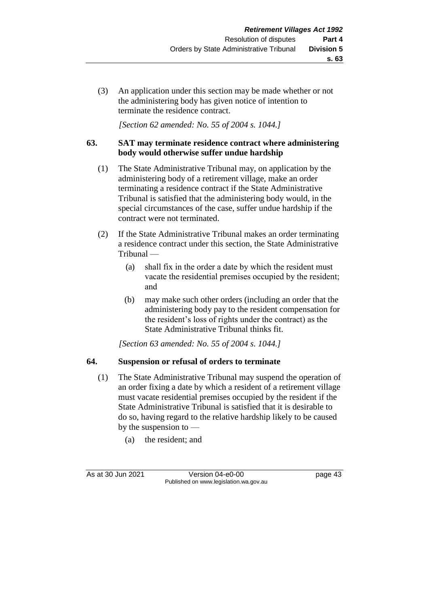(3) An application under this section may be made whether or not the administering body has given notice of intention to terminate the residence contract.

*[Section 62 amended: No. 55 of 2004 s. 1044.]*

# **63. SAT may terminate residence contract where administering body would otherwise suffer undue hardship**

- (1) The State Administrative Tribunal may, on application by the administering body of a retirement village, make an order terminating a residence contract if the State Administrative Tribunal is satisfied that the administering body would, in the special circumstances of the case, suffer undue hardship if the contract were not terminated.
- (2) If the State Administrative Tribunal makes an order terminating a residence contract under this section, the State Administrative Tribunal —
	- (a) shall fix in the order a date by which the resident must vacate the residential premises occupied by the resident; and
	- (b) may make such other orders (including an order that the administering body pay to the resident compensation for the resident's loss of rights under the contract) as the State Administrative Tribunal thinks fit.

*[Section 63 amended: No. 55 of 2004 s. 1044.]*

# **64. Suspension or refusal of orders to terminate**

- (1) The State Administrative Tribunal may suspend the operation of an order fixing a date by which a resident of a retirement village must vacate residential premises occupied by the resident if the State Administrative Tribunal is satisfied that it is desirable to do so, having regard to the relative hardship likely to be caused by the suspension to —
	- (a) the resident; and

As at 30 Jun 2021 Version 04-e0-00 page 43 Published on www.legislation.wa.gov.au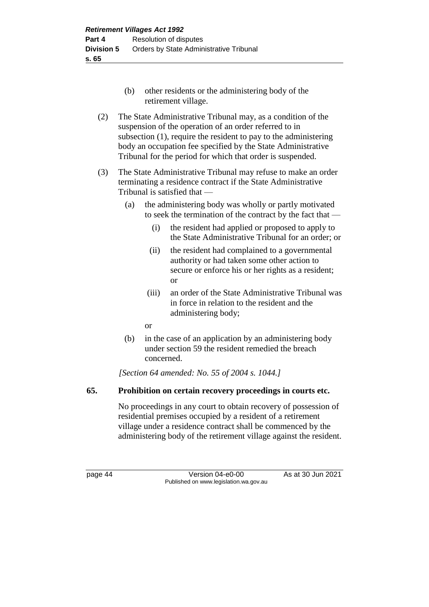- (b) other residents or the administering body of the retirement village.
- (2) The State Administrative Tribunal may, as a condition of the suspension of the operation of an order referred to in subsection (1), require the resident to pay to the administering body an occupation fee specified by the State Administrative Tribunal for the period for which that order is suspended.
- (3) The State Administrative Tribunal may refuse to make an order terminating a residence contract if the State Administrative Tribunal is satisfied that —
	- (a) the administering body was wholly or partly motivated to seek the termination of the contract by the fact that —
		- (i) the resident had applied or proposed to apply to the State Administrative Tribunal for an order; or
		- (ii) the resident had complained to a governmental authority or had taken some other action to secure or enforce his or her rights as a resident; or
		- (iii) an order of the State Administrative Tribunal was in force in relation to the resident and the administering body;

or

(b) in the case of an application by an administering body under section 59 the resident remedied the breach concerned.

*[Section 64 amended: No. 55 of 2004 s. 1044.]*

# **65. Prohibition on certain recovery proceedings in courts etc.**

No proceedings in any court to obtain recovery of possession of residential premises occupied by a resident of a retirement village under a residence contract shall be commenced by the administering body of the retirement village against the resident.

page 44 Version 04-e0-00 As at 30 Jun 2021 Published on www.legislation.wa.gov.au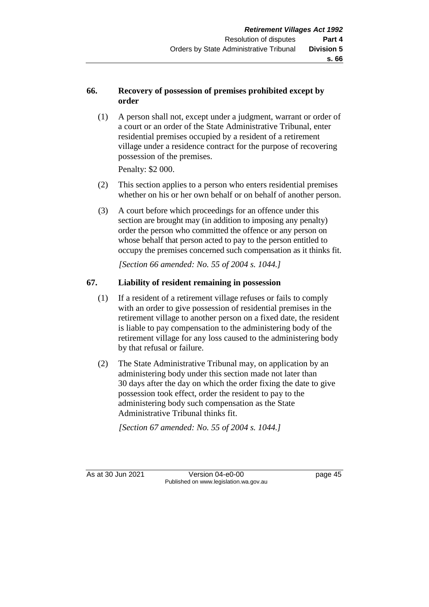# **66. Recovery of possession of premises prohibited except by order**

(1) A person shall not, except under a judgment, warrant or order of a court or an order of the State Administrative Tribunal, enter residential premises occupied by a resident of a retirement village under a residence contract for the purpose of recovering possession of the premises.

Penalty: \$2 000.

- (2) This section applies to a person who enters residential premises whether on his or her own behalf or on behalf of another person.
- (3) A court before which proceedings for an offence under this section are brought may (in addition to imposing any penalty) order the person who committed the offence or any person on whose behalf that person acted to pay to the person entitled to occupy the premises concerned such compensation as it thinks fit.

*[Section 66 amended: No. 55 of 2004 s. 1044.]*

# **67. Liability of resident remaining in possession**

- (1) If a resident of a retirement village refuses or fails to comply with an order to give possession of residential premises in the retirement village to another person on a fixed date, the resident is liable to pay compensation to the administering body of the retirement village for any loss caused to the administering body by that refusal or failure.
- (2) The State Administrative Tribunal may, on application by an administering body under this section made not later than 30 days after the day on which the order fixing the date to give possession took effect, order the resident to pay to the administering body such compensation as the State Administrative Tribunal thinks fit.

*[Section 67 amended: No. 55 of 2004 s. 1044.]*

As at 30 Jun 2021 Version 04-e0-00 page 45 Published on www.legislation.wa.gov.au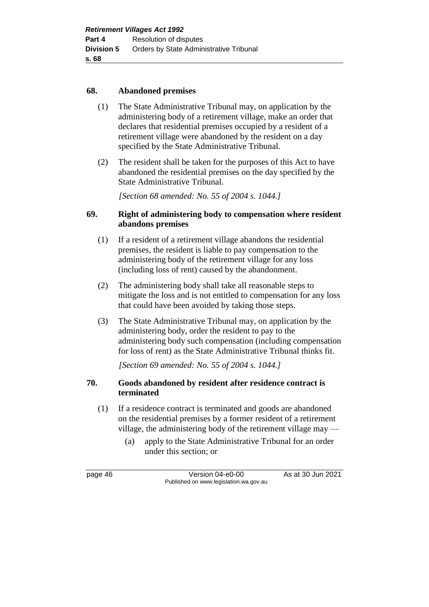### **68. Abandoned premises**

- (1) The State Administrative Tribunal may, on application by the administering body of a retirement village, make an order that declares that residential premises occupied by a resident of a retirement village were abandoned by the resident on a day specified by the State Administrative Tribunal.
- (2) The resident shall be taken for the purposes of this Act to have abandoned the residential premises on the day specified by the State Administrative Tribunal.

*[Section 68 amended: No. 55 of 2004 s. 1044.]*

### **69. Right of administering body to compensation where resident abandons premises**

- (1) If a resident of a retirement village abandons the residential premises, the resident is liable to pay compensation to the administering body of the retirement village for any loss (including loss of rent) caused by the abandonment.
- (2) The administering body shall take all reasonable steps to mitigate the loss and is not entitled to compensation for any loss that could have been avoided by taking those steps.
- (3) The State Administrative Tribunal may, on application by the administering body, order the resident to pay to the administering body such compensation (including compensation for loss of rent) as the State Administrative Tribunal thinks fit.

*[Section 69 amended: No. 55 of 2004 s. 1044.]*

### **70. Goods abandoned by resident after residence contract is terminated**

- (1) If a residence contract is terminated and goods are abandoned on the residential premises by a former resident of a retirement village, the administering body of the retirement village may —
	- (a) apply to the State Administrative Tribunal for an order under this section; or

page 46 Version 04-e0-00 As at 30 Jun 2021 Published on www.legislation.wa.gov.au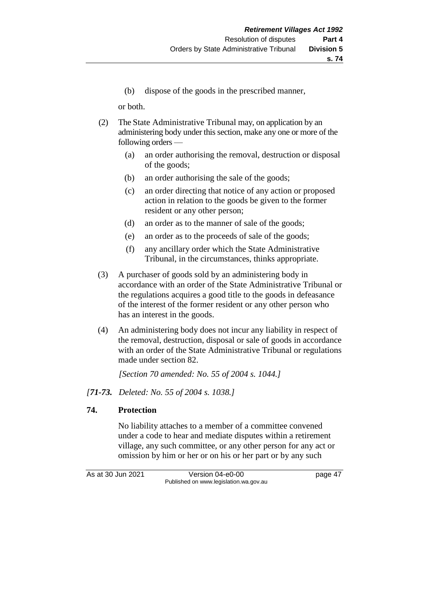(b) dispose of the goods in the prescribed manner,

or both.

- (2) The State Administrative Tribunal may, on application by an administering body under this section, make any one or more of the following orders —
	- (a) an order authorising the removal, destruction or disposal of the goods;
	- (b) an order authorising the sale of the goods;
	- (c) an order directing that notice of any action or proposed action in relation to the goods be given to the former resident or any other person;
	- (d) an order as to the manner of sale of the goods;
	- (e) an order as to the proceeds of sale of the goods;
	- (f) any ancillary order which the State Administrative Tribunal, in the circumstances, thinks appropriate.
- (3) A purchaser of goods sold by an administering body in accordance with an order of the State Administrative Tribunal or the regulations acquires a good title to the goods in defeasance of the interest of the former resident or any other person who has an interest in the goods.
- (4) An administering body does not incur any liability in respect of the removal, destruction, disposal or sale of goods in accordance with an order of the State Administrative Tribunal or regulations made under section 82.

*[Section 70 amended: No. 55 of 2004 s. 1044.]*

# *[71-73. Deleted: No. 55 of 2004 s. 1038.]*

# **74. Protection**

No liability attaches to a member of a committee convened under a code to hear and mediate disputes within a retirement village, any such committee, or any other person for any act or omission by him or her or on his or her part or by any such

As at 30 Jun 2021 Version 04-e0-00 page 47 Published on www.legislation.wa.gov.au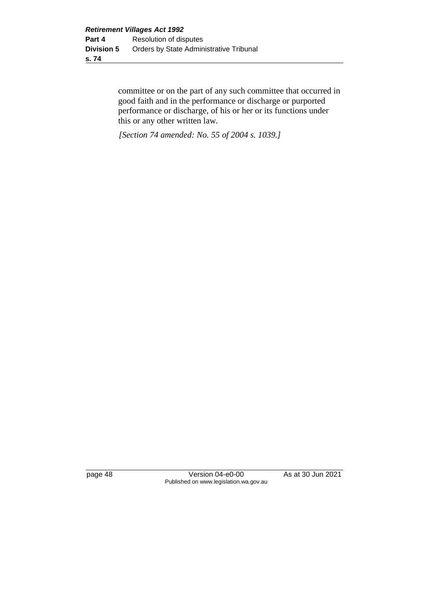committee or on the part of any such committee that occurred in good faith and in the performance or discharge or purported performance or discharge, of his or her or its functions under this or any other written law.

*[Section 74 amended: No. 55 of 2004 s. 1039.]*

page 48 Version 04-e0-00 As at 30 Jun 2021 Published on www.legislation.wa.gov.au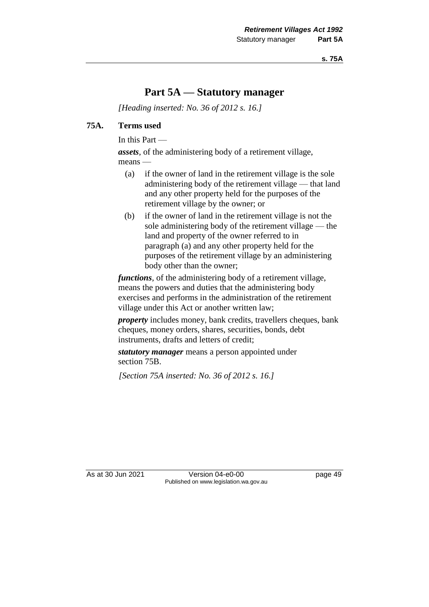# **Part 5A — Statutory manager**

*[Heading inserted: No. 36 of 2012 s. 16.]*

### **75A. Terms used**

In this Part —

*assets*, of the administering body of a retirement village, means —

- (a) if the owner of land in the retirement village is the sole administering body of the retirement village — that land and any other property held for the purposes of the retirement village by the owner; or
- (b) if the owner of land in the retirement village is not the sole administering body of the retirement village — the land and property of the owner referred to in paragraph (a) and any other property held for the purposes of the retirement village by an administering body other than the owner;

*functions*, of the administering body of a retirement village, means the powers and duties that the administering body exercises and performs in the administration of the retirement village under this Act or another written law;

*property* includes money, bank credits, travellers cheques, bank cheques, money orders, shares, securities, bonds, debt instruments, drafts and letters of credit;

*statutory manager* means a person appointed under section 75B.

*[Section 75A inserted: No. 36 of 2012 s. 16.]*

As at 30 Jun 2021 Version 04-e0-00 Page 49 Published on www.legislation.wa.gov.au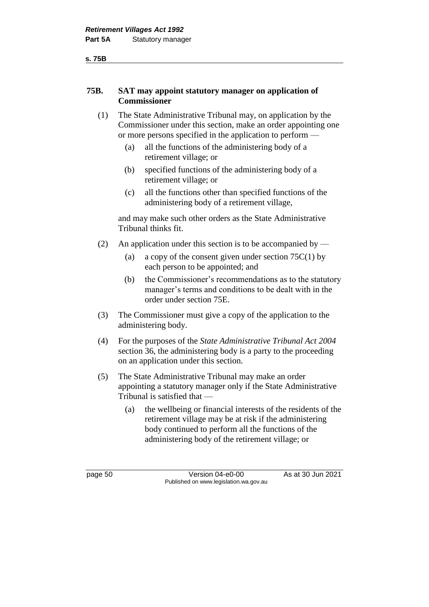## **75B. SAT may appoint statutory manager on application of Commissioner**

- (1) The State Administrative Tribunal may, on application by the Commissioner under this section, make an order appointing one or more persons specified in the application to perform —
	- (a) all the functions of the administering body of a retirement village; or
	- (b) specified functions of the administering body of a retirement village; or
	- (c) all the functions other than specified functions of the administering body of a retirement village,

and may make such other orders as the State Administrative Tribunal thinks fit.

- (2) An application under this section is to be accompanied by
	- (a) a copy of the consent given under section  $75C(1)$  by each person to be appointed; and
	- (b) the Commissioner's recommendations as to the statutory manager's terms and conditions to be dealt with in the order under section 75E.
- (3) The Commissioner must give a copy of the application to the administering body.
- (4) For the purposes of the *State Administrative Tribunal Act 2004* section 36, the administering body is a party to the proceeding on an application under this section.
- (5) The State Administrative Tribunal may make an order appointing a statutory manager only if the State Administrative Tribunal is satisfied that —
	- (a) the wellbeing or financial interests of the residents of the retirement village may be at risk if the administering body continued to perform all the functions of the administering body of the retirement village; or

page 50 Version 04-e0-00 As at 30 Jun 2021 Published on www.legislation.wa.gov.au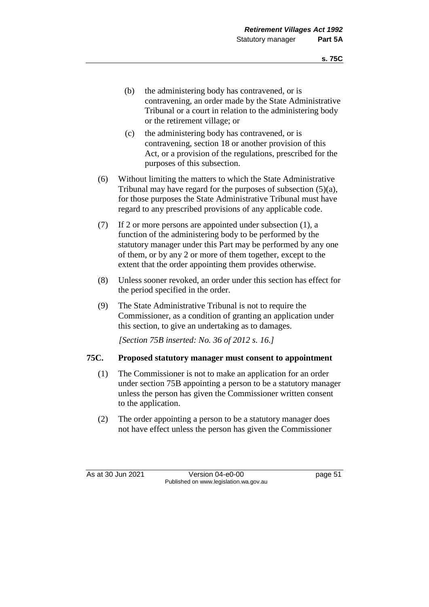- (b) the administering body has contravened, or is contravening, an order made by the State Administrative Tribunal or a court in relation to the administering body or the retirement village; or
- (c) the administering body has contravened, or is contravening, section 18 or another provision of this Act, or a provision of the regulations, prescribed for the purposes of this subsection.
- (6) Without limiting the matters to which the State Administrative Tribunal may have regard for the purposes of subsection (5)(a), for those purposes the State Administrative Tribunal must have regard to any prescribed provisions of any applicable code.
- (7) If 2 or more persons are appointed under subsection (1), a function of the administering body to be performed by the statutory manager under this Part may be performed by any one of them, or by any 2 or more of them together, except to the extent that the order appointing them provides otherwise.
- (8) Unless sooner revoked, an order under this section has effect for the period specified in the order.
- (9) The State Administrative Tribunal is not to require the Commissioner, as a condition of granting an application under this section, to give an undertaking as to damages.

*[Section 75B inserted: No. 36 of 2012 s. 16.]*

# **75C. Proposed statutory manager must consent to appointment**

- (1) The Commissioner is not to make an application for an order under section 75B appointing a person to be a statutory manager unless the person has given the Commissioner written consent to the application.
- (2) The order appointing a person to be a statutory manager does not have effect unless the person has given the Commissioner

As at 30 Jun 2021 Version 04-e0-00 page 51 Published on www.legislation.wa.gov.au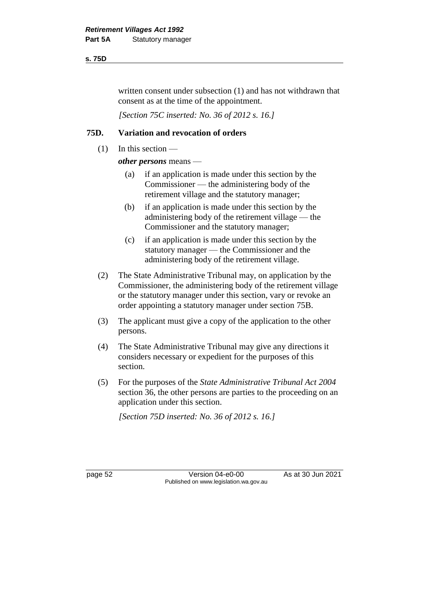### **s. 75D**

written consent under subsection (1) and has not withdrawn that consent as at the time of the appointment.

*[Section 75C inserted: No. 36 of 2012 s. 16.]*

# **75D. Variation and revocation of orders**

(1) In this section —

*other persons* means —

- (a) if an application is made under this section by the Commissioner — the administering body of the retirement village and the statutory manager;
- (b) if an application is made under this section by the administering body of the retirement village — the Commissioner and the statutory manager;
- (c) if an application is made under this section by the statutory manager — the Commissioner and the administering body of the retirement village.
- (2) The State Administrative Tribunal may, on application by the Commissioner, the administering body of the retirement village or the statutory manager under this section, vary or revoke an order appointing a statutory manager under section 75B.
- (3) The applicant must give a copy of the application to the other persons.
- (4) The State Administrative Tribunal may give any directions it considers necessary or expedient for the purposes of this section.
- (5) For the purposes of the *State Administrative Tribunal Act 2004* section 36, the other persons are parties to the proceeding on an application under this section.

*[Section 75D inserted: No. 36 of 2012 s. 16.]*

page 52 Version 04-e0-00 As at 30 Jun 2021 Published on www.legislation.wa.gov.au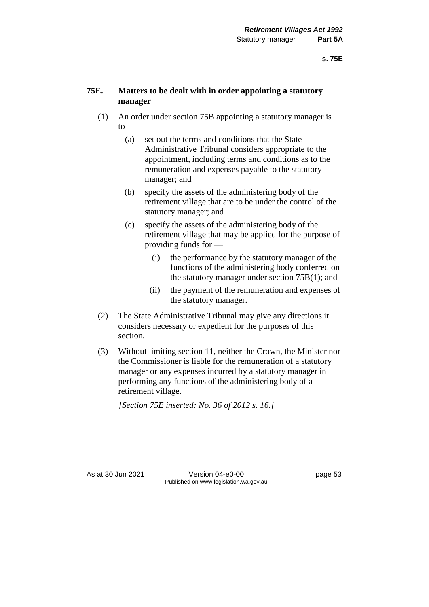# **75E. Matters to be dealt with in order appointing a statutory manager**

- (1) An order under section 75B appointing a statutory manager is  $to -$ 
	- (a) set out the terms and conditions that the State Administrative Tribunal considers appropriate to the appointment, including terms and conditions as to the remuneration and expenses payable to the statutory manager; and
	- (b) specify the assets of the administering body of the retirement village that are to be under the control of the statutory manager; and
	- (c) specify the assets of the administering body of the retirement village that may be applied for the purpose of providing funds for —
		- (i) the performance by the statutory manager of the functions of the administering body conferred on the statutory manager under section 75B(1); and
		- (ii) the payment of the remuneration and expenses of the statutory manager.
- (2) The State Administrative Tribunal may give any directions it considers necessary or expedient for the purposes of this section.
- (3) Without limiting section 11, neither the Crown, the Minister nor the Commissioner is liable for the remuneration of a statutory manager or any expenses incurred by a statutory manager in performing any functions of the administering body of a retirement village.

*[Section 75E inserted: No. 36 of 2012 s. 16.]*

As at 30 Jun 2021 Version 04-e0-00 page 53 Published on www.legislation.wa.gov.au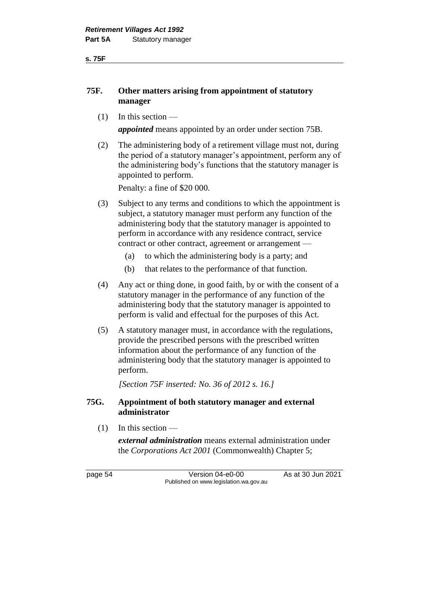**s. 75F**

## **75F. Other matters arising from appointment of statutory manager**

 $(1)$  In this section —

*appointed* means appointed by an order under section 75B.

(2) The administering body of a retirement village must not, during the period of a statutory manager's appointment, perform any of the administering body's functions that the statutory manager is appointed to perform.

Penalty: a fine of \$20 000.

- (3) Subject to any terms and conditions to which the appointment is subject, a statutory manager must perform any function of the administering body that the statutory manager is appointed to perform in accordance with any residence contract, service contract or other contract, agreement or arrangement —
	- (a) to which the administering body is a party; and
	- (b) that relates to the performance of that function.
- (4) Any act or thing done, in good faith, by or with the consent of a statutory manager in the performance of any function of the administering body that the statutory manager is appointed to perform is valid and effectual for the purposes of this Act.
- (5) A statutory manager must, in accordance with the regulations, provide the prescribed persons with the prescribed written information about the performance of any function of the administering body that the statutory manager is appointed to perform.

*[Section 75F inserted: No. 36 of 2012 s. 16.]*

## **75G. Appointment of both statutory manager and external administrator**

(1) In this section —

*external administration* means external administration under the *Corporations Act 2001* (Commonwealth) Chapter 5;

page 54 Version 04-e0-00 As at 30 Jun 2021 Published on www.legislation.wa.gov.au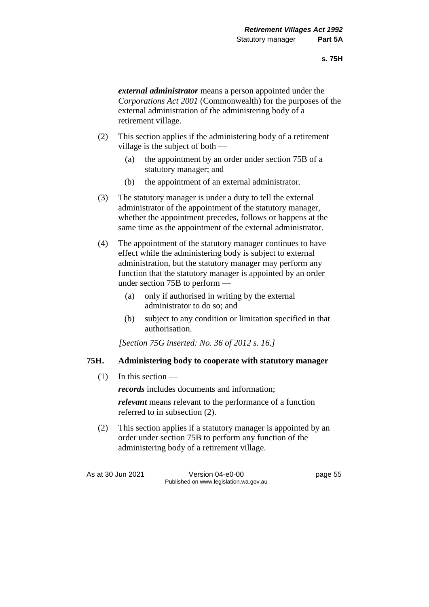*external administrator* means a person appointed under the *Corporations Act 2001* (Commonwealth) for the purposes of the external administration of the administering body of a retirement village.

- (2) This section applies if the administering body of a retirement village is the subject of both —
	- (a) the appointment by an order under section 75B of a statutory manager; and
	- (b) the appointment of an external administrator.
- (3) The statutory manager is under a duty to tell the external administrator of the appointment of the statutory manager, whether the appointment precedes, follows or happens at the same time as the appointment of the external administrator.
- (4) The appointment of the statutory manager continues to have effect while the administering body is subject to external administration, but the statutory manager may perform any function that the statutory manager is appointed by an order under section 75B to perform —
	- (a) only if authorised in writing by the external administrator to do so; and
	- (b) subject to any condition or limitation specified in that authorisation.

*[Section 75G inserted: No. 36 of 2012 s. 16.]*

### **75H. Administering body to cooperate with statutory manager**

 $(1)$  In this section —

*records* includes documents and information;

*relevant* means relevant to the performance of a function referred to in subsection (2).

(2) This section applies if a statutory manager is appointed by an order under section 75B to perform any function of the administering body of a retirement village.

As at 30 Jun 2021 Version 04-e0-00 page 55 Published on www.legislation.wa.gov.au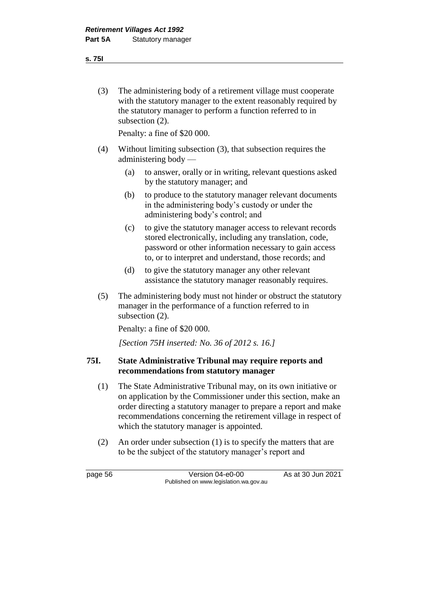(3) The administering body of a retirement village must cooperate with the statutory manager to the extent reasonably required by the statutory manager to perform a function referred to in subsection (2).

Penalty: a fine of \$20 000.

- (4) Without limiting subsection (3), that subsection requires the administering body —
	- (a) to answer, orally or in writing, relevant questions asked by the statutory manager; and
	- (b) to produce to the statutory manager relevant documents in the administering body's custody or under the administering body's control; and
	- (c) to give the statutory manager access to relevant records stored electronically, including any translation, code, password or other information necessary to gain access to, or to interpret and understand, those records; and
	- (d) to give the statutory manager any other relevant assistance the statutory manager reasonably requires.
- (5) The administering body must not hinder or obstruct the statutory manager in the performance of a function referred to in subsection (2).

Penalty: a fine of \$20 000.

*[Section 75H inserted: No. 36 of 2012 s. 16.]*

### **75I. State Administrative Tribunal may require reports and recommendations from statutory manager**

- (1) The State Administrative Tribunal may, on its own initiative or on application by the Commissioner under this section, make an order directing a statutory manager to prepare a report and make recommendations concerning the retirement village in respect of which the statutory manager is appointed.
- (2) An order under subsection (1) is to specify the matters that are to be the subject of the statutory manager's report and

page 56 Version 04-e0-00 As at 30 Jun 2021 Published on www.legislation.wa.gov.au

#### **s. 75I**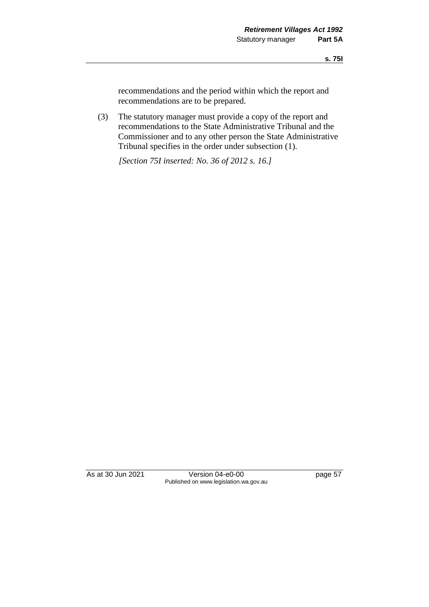recommendations and the period within which the report and recommendations are to be prepared.

(3) The statutory manager must provide a copy of the report and recommendations to the State Administrative Tribunal and the Commissioner and to any other person the State Administrative Tribunal specifies in the order under subsection (1).

*[Section 75I inserted: No. 36 of 2012 s. 16.]*

As at 30 Jun 2021 Version 04-e0-00 page 57 Published on www.legislation.wa.gov.au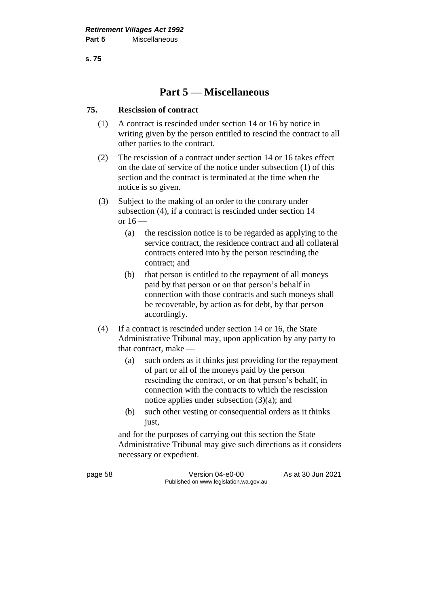**s. 75**

# **Part 5 — Miscellaneous**

# **75. Rescission of contract**

- (1) A contract is rescinded under section 14 or 16 by notice in writing given by the person entitled to rescind the contract to all other parties to the contract.
- (2) The rescission of a contract under section 14 or 16 takes effect on the date of service of the notice under subsection (1) of this section and the contract is terminated at the time when the notice is so given.
- (3) Subject to the making of an order to the contrary under subsection (4), if a contract is rescinded under section 14 or  $16$  —
	- (a) the rescission notice is to be regarded as applying to the service contract, the residence contract and all collateral contracts entered into by the person rescinding the contract; and
	- (b) that person is entitled to the repayment of all moneys paid by that person or on that person's behalf in connection with those contracts and such moneys shall be recoverable, by action as for debt, by that person accordingly.
- (4) If a contract is rescinded under section 14 or 16, the State Administrative Tribunal may, upon application by any party to that contract, make —
	- (a) such orders as it thinks just providing for the repayment of part or all of the moneys paid by the person rescinding the contract, or on that person's behalf, in connection with the contracts to which the rescission notice applies under subsection (3)(a); and
	- (b) such other vesting or consequential orders as it thinks just,

and for the purposes of carrying out this section the State Administrative Tribunal may give such directions as it considers necessary or expedient.

page 58 Version 04-e0-00 As at 30 Jun 2021 Published on www.legislation.wa.gov.au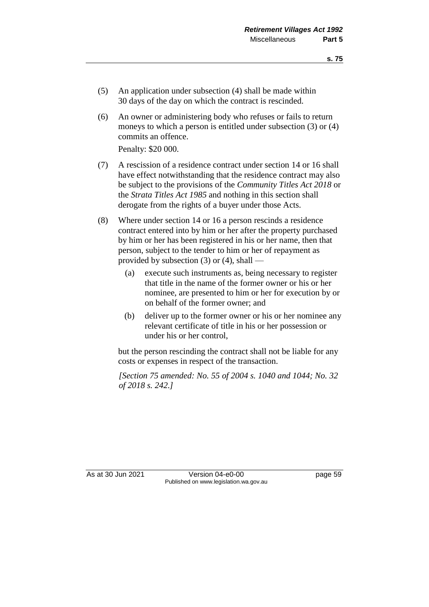- (5) An application under subsection (4) shall be made within 30 days of the day on which the contract is rescinded.
- (6) An owner or administering body who refuses or fails to return moneys to which a person is entitled under subsection (3) or (4) commits an offence.

Penalty: \$20 000.

- (7) A rescission of a residence contract under section 14 or 16 shall have effect notwithstanding that the residence contract may also be subject to the provisions of the *Community Titles Act 2018* or the *Strata Titles Act 1985* and nothing in this section shall derogate from the rights of a buyer under those Acts.
- (8) Where under section 14 or 16 a person rescinds a residence contract entered into by him or her after the property purchased by him or her has been registered in his or her name, then that person, subject to the tender to him or her of repayment as provided by subsection (3) or (4), shall —
	- (a) execute such instruments as, being necessary to register that title in the name of the former owner or his or her nominee, are presented to him or her for execution by or on behalf of the former owner; and
	- (b) deliver up to the former owner or his or her nominee any relevant certificate of title in his or her possession or under his or her control,

but the person rescinding the contract shall not be liable for any costs or expenses in respect of the transaction.

*[Section 75 amended: No. 55 of 2004 s. 1040 and 1044; No. 32 of 2018 s. 242.]*

As at 30 Jun 2021 Version 04-e0-00 Page 59 Published on www.legislation.wa.gov.au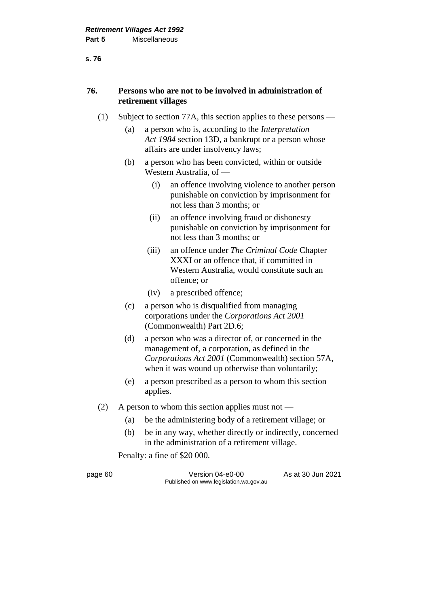#### **s. 76**

## **76. Persons who are not to be involved in administration of retirement villages**

- (1) Subject to section 77A, this section applies to these persons
	- (a) a person who is, according to the *Interpretation Act 1984* section 13D, a bankrupt or a person whose affairs are under insolvency laws;
	- (b) a person who has been convicted, within or outside Western Australia, of —
		- (i) an offence involving violence to another person punishable on conviction by imprisonment for not less than 3 months; or
		- (ii) an offence involving fraud or dishonesty punishable on conviction by imprisonment for not less than 3 months; or
		- (iii) an offence under *The Criminal Code* Chapter XXXI or an offence that, if committed in Western Australia, would constitute such an offence; or
		- (iv) a prescribed offence;
	- (c) a person who is disqualified from managing corporations under the *Corporations Act 2001* (Commonwealth) Part 2D.6;
	- (d) a person who was a director of, or concerned in the management of, a corporation, as defined in the *Corporations Act 2001* (Commonwealth) section 57A, when it was wound up otherwise than voluntarily;
	- (e) a person prescribed as a person to whom this section applies.
- (2) A person to whom this section applies must not
	- (a) be the administering body of a retirement village; or
	- (b) be in any way, whether directly or indirectly, concerned in the administration of a retirement village.

Penalty: a fine of \$20 000.

page 60 Version 04-e0-00 As at 30 Jun 2021 Published on www.legislation.wa.gov.au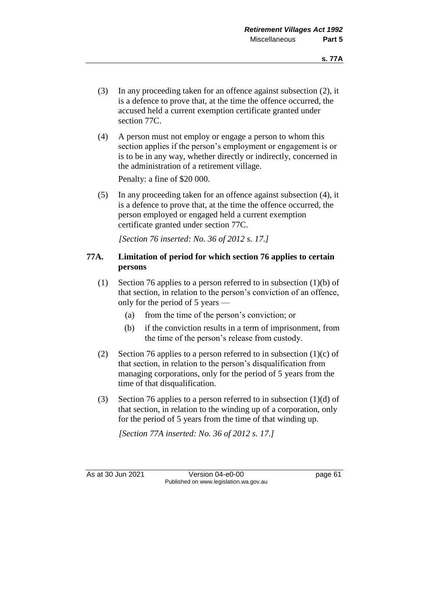- (3) In any proceeding taken for an offence against subsection (2), it is a defence to prove that, at the time the offence occurred, the accused held a current exemption certificate granted under section 77C.
- (4) A person must not employ or engage a person to whom this section applies if the person's employment or engagement is or is to be in any way, whether directly or indirectly, concerned in the administration of a retirement village.

Penalty: a fine of \$20 000.

(5) In any proceeding taken for an offence against subsection (4), it is a defence to prove that, at the time the offence occurred, the person employed or engaged held a current exemption certificate granted under section 77C.

*[Section 76 inserted: No. 36 of 2012 s. 17.]*

## **77A. Limitation of period for which section 76 applies to certain persons**

- (1) Section 76 applies to a person referred to in subsection (1)(b) of that section, in relation to the person's conviction of an offence, only for the period of 5 years —
	- (a) from the time of the person's conviction; or
	- (b) if the conviction results in a term of imprisonment, from the time of the person's release from custody.
- (2) Section 76 applies to a person referred to in subsection  $(1)(c)$  of that section, in relation to the person's disqualification from managing corporations, only for the period of 5 years from the time of that disqualification.
- (3) Section 76 applies to a person referred to in subsection (1)(d) of that section, in relation to the winding up of a corporation, only for the period of 5 years from the time of that winding up.

*[Section 77A inserted: No. 36 of 2012 s. 17.]*

As at 30 Jun 2021 Version 04-e0-00 page 61 Published on www.legislation.wa.gov.au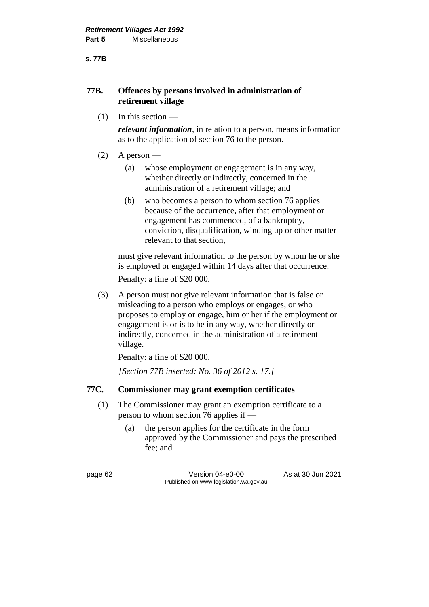#### **s. 77B**

### **77B. Offences by persons involved in administration of retirement village**

 $(1)$  In this section —

*relevant information*, in relation to a person, means information as to the application of section 76 to the person.

- $(2)$  A person
	- (a) whose employment or engagement is in any way, whether directly or indirectly, concerned in the administration of a retirement village; and
	- (b) who becomes a person to whom section 76 applies because of the occurrence, after that employment or engagement has commenced, of a bankruptcy, conviction, disqualification, winding up or other matter relevant to that section,

must give relevant information to the person by whom he or she is employed or engaged within 14 days after that occurrence.

Penalty: a fine of \$20 000.

(3) A person must not give relevant information that is false or misleading to a person who employs or engages, or who proposes to employ or engage, him or her if the employment or engagement is or is to be in any way, whether directly or indirectly, concerned in the administration of a retirement village.

Penalty: a fine of \$20 000.

*[Section 77B inserted: No. 36 of 2012 s. 17.]*

# **77C. Commissioner may grant exemption certificates**

- (1) The Commissioner may grant an exemption certificate to a person to whom section 76 applies if —
	- (a) the person applies for the certificate in the form approved by the Commissioner and pays the prescribed fee; and

page 62 Version 04-e0-00 As at 30 Jun 2021 Published on www.legislation.wa.gov.au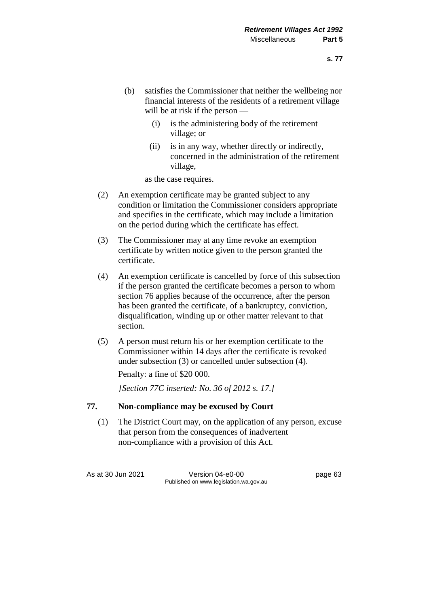- (b) satisfies the Commissioner that neither the wellbeing nor financial interests of the residents of a retirement village will be at risk if the person —
	- (i) is the administering body of the retirement village; or
	- (ii) is in any way, whether directly or indirectly, concerned in the administration of the retirement village,

as the case requires.

- (2) An exemption certificate may be granted subject to any condition or limitation the Commissioner considers appropriate and specifies in the certificate, which may include a limitation on the period during which the certificate has effect.
- (3) The Commissioner may at any time revoke an exemption certificate by written notice given to the person granted the certificate.
- (4) An exemption certificate is cancelled by force of this subsection if the person granted the certificate becomes a person to whom section 76 applies because of the occurrence, after the person has been granted the certificate, of a bankruptcy, conviction, disqualification, winding up or other matter relevant to that section.
- (5) A person must return his or her exemption certificate to the Commissioner within 14 days after the certificate is revoked under subsection (3) or cancelled under subsection (4).

Penalty: a fine of \$20 000.

*[Section 77C inserted: No. 36 of 2012 s. 17.]*

# **77. Non-compliance may be excused by Court**

(1) The District Court may, on the application of any person, excuse that person from the consequences of inadvertent non-compliance with a provision of this Act.

As at 30 Jun 2021 Version 04-e0-00 page 63 Published on www.legislation.wa.gov.au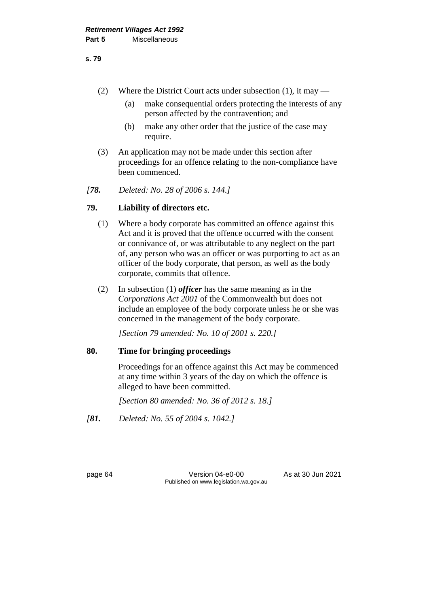- (2) Where the District Court acts under subsection (1), it may
	- (a) make consequential orders protecting the interests of any person affected by the contravention; and
	- (b) make any other order that the justice of the case may require.
- (3) An application may not be made under this section after proceedings for an offence relating to the non-compliance have been commenced.
- *[78. Deleted: No. 28 of 2006 s. 144.]*

## **79. Liability of directors etc.**

- (1) Where a body corporate has committed an offence against this Act and it is proved that the offence occurred with the consent or connivance of, or was attributable to any neglect on the part of, any person who was an officer or was purporting to act as an officer of the body corporate, that person, as well as the body corporate, commits that offence.
- (2) In subsection (1) *officer* has the same meaning as in the *Corporations Act 2001* of the Commonwealth but does not include an employee of the body corporate unless he or she was concerned in the management of the body corporate.

*[Section 79 amended: No. 10 of 2001 s. 220.]*

### **80. Time for bringing proceedings**

Proceedings for an offence against this Act may be commenced at any time within 3 years of the day on which the offence is alleged to have been committed.

*[Section 80 amended: No. 36 of 2012 s. 18.]*

*[81. Deleted: No. 55 of 2004 s. 1042.]*

page 64 Version 04-e0-00 As at 30 Jun 2021 Published on www.legislation.wa.gov.au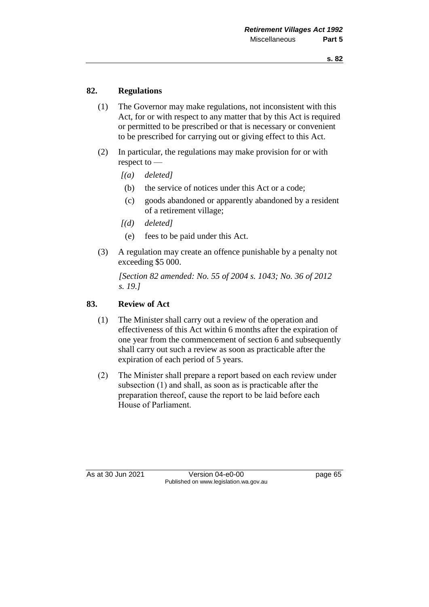# **82. Regulations**

- (1) The Governor may make regulations, not inconsistent with this Act, for or with respect to any matter that by this Act is required or permitted to be prescribed or that is necessary or convenient to be prescribed for carrying out or giving effect to this Act.
- (2) In particular, the regulations may make provision for or with respect to —
	- *[(a) deleted]*
	- (b) the service of notices under this Act or a code;
	- (c) goods abandoned or apparently abandoned by a resident of a retirement village;
	- *[(d) deleted]*
		- (e) fees to be paid under this Act.
- (3) A regulation may create an offence punishable by a penalty not exceeding \$5 000.

*[Section 82 amended: No. 55 of 2004 s. 1043; No. 36 of 2012 s. 19.]*

# **83. Review of Act**

- (1) The Minister shall carry out a review of the operation and effectiveness of this Act within 6 months after the expiration of one year from the commencement of section 6 and subsequently shall carry out such a review as soon as practicable after the expiration of each period of 5 years.
- (2) The Minister shall prepare a report based on each review under subsection (1) and shall, as soon as is practicable after the preparation thereof, cause the report to be laid before each House of Parliament.

As at 30 Jun 2021 Version 04-e0-00 Page 65 Published on www.legislation.wa.gov.au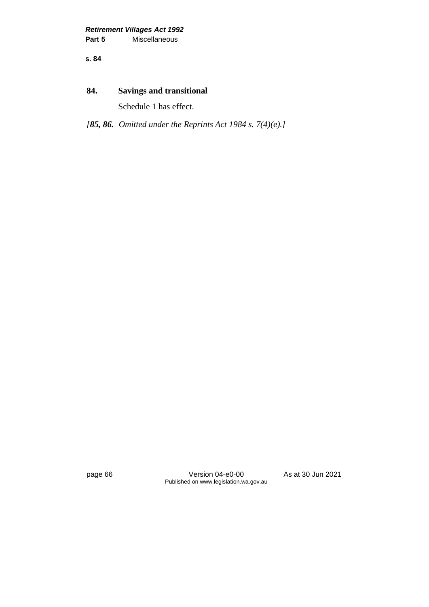**s. 84**

# **84. Savings and transitional**

Schedule 1 has effect.

*[85, 86. Omitted under the Reprints Act 1984 s. 7(4)(e).]*

page 66 Version 04-e0-00 As at 30 Jun 2021 Published on www.legislation.wa.gov.au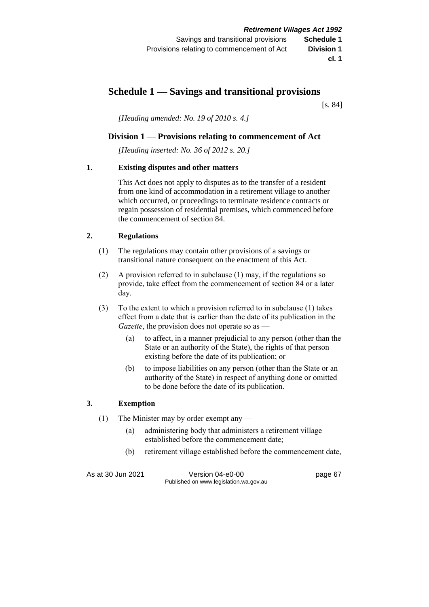# **Schedule 1 — Savings and transitional provisions**

[s. 84]

*[Heading amended: No. 19 of 2010 s. 4.]*

### **Division 1** — **Provisions relating to commencement of Act**

*[Heading inserted: No. 36 of 2012 s. 20.]*

### **1. Existing disputes and other matters**

This Act does not apply to disputes as to the transfer of a resident from one kind of accommodation in a retirement village to another which occurred, or proceedings to terminate residence contracts or regain possession of residential premises, which commenced before the commencement of section 84.

### **2. Regulations**

- (1) The regulations may contain other provisions of a savings or transitional nature consequent on the enactment of this Act.
- (2) A provision referred to in subclause (1) may, if the regulations so provide, take effect from the commencement of section 84 or a later day.
- (3) To the extent to which a provision referred to in subclause (1) takes effect from a date that is earlier than the date of its publication in the *Gazette*, the provision does not operate so as —
	- (a) to affect, in a manner prejudicial to any person (other than the State or an authority of the State), the rights of that person existing before the date of its publication; or
	- (b) to impose liabilities on any person (other than the State or an authority of the State) in respect of anything done or omitted to be done before the date of its publication.

### **3. Exemption**

- (1) The Minister may by order exempt any
	- (a) administering body that administers a retirement village established before the commencement date;
	- (b) retirement village established before the commencement date,

As at 30 Jun 2021 Version 04-e0-00 page 67 Published on www.legislation.wa.gov.au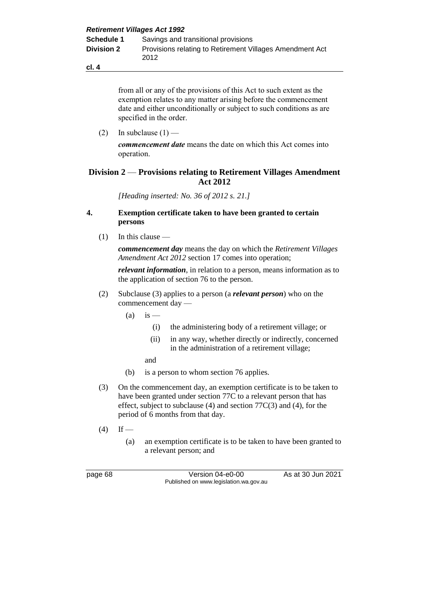from all or any of the provisions of this Act to such extent as the exemption relates to any matter arising before the commencement date and either unconditionally or subject to such conditions as are specified in the order.

(2) In subclause  $(1)$  —

**cl. 4**

*commencement date* means the date on which this Act comes into operation.

### **Division 2** — **Provisions relating to Retirement Villages Amendment Act 2012**

*[Heading inserted: No. 36 of 2012 s. 21.]*

### **4. Exemption certificate taken to have been granted to certain persons**

(1) In this clause —

*commencement day* means the day on which the *Retirement Villages Amendment Act 2012* section 17 comes into operation;

*relevant information*, in relation to a person, means information as to the application of section 76 to the person.

- (2) Subclause (3) applies to a person (a *relevant person*) who on the commencement day —
	- $(a)$  is
		- (i) the administering body of a retirement village; or
		- (ii) in any way, whether directly or indirectly, concerned in the administration of a retirement village;
		- and
	- (b) is a person to whom section 76 applies.
- (3) On the commencement day, an exemption certificate is to be taken to have been granted under section 77C to a relevant person that has effect, subject to subclause (4) and section 77C(3) and (4), for the period of 6 months from that day.
- $(4)$  If
	- (a) an exemption certificate is to be taken to have been granted to a relevant person; and

page 68 Version 04-e0-00 As at 30 Jun 2021 Published on www.legislation.wa.gov.au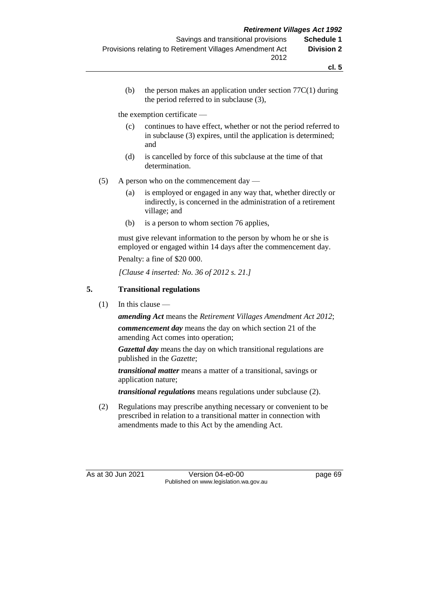(b) the person makes an application under section  $77C(1)$  during the period referred to in subclause (3),

the exemption certificate —

- (c) continues to have effect, whether or not the period referred to in subclause (3) expires, until the application is determined; and
- (d) is cancelled by force of this subclause at the time of that determination.
- (5) A person who on the commencement day
	- (a) is employed or engaged in any way that, whether directly or indirectly, is concerned in the administration of a retirement village; and
	- (b) is a person to whom section 76 applies,

must give relevant information to the person by whom he or she is employed or engaged within 14 days after the commencement day.

Penalty: a fine of \$20 000.

*[Clause 4 inserted: No. 36 of 2012 s. 21.]*

## **5. Transitional regulations**

 $(1)$  In this clause —

*amending Act* means the *Retirement Villages Amendment Act 2012*;

*commencement day* means the day on which section 21 of the amending Act comes into operation;

*Gazettal day* means the day on which transitional regulations are published in the *Gazette*;

*transitional matter* means a matter of a transitional, savings or application nature;

*transitional regulations* means regulations under subclause (2).

(2) Regulations may prescribe anything necessary or convenient to be prescribed in relation to a transitional matter in connection with amendments made to this Act by the amending Act.

As at 30 Jun 2021 Version 04-e0-00 Page 69 Published on www.legislation.wa.gov.au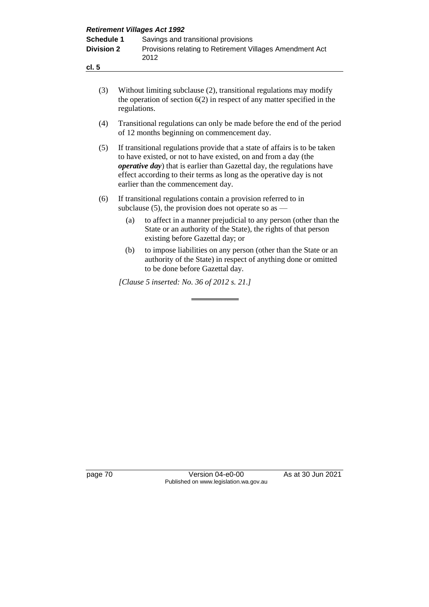| <b>Retirement Villages Act 1992</b> |                                                                  |
|-------------------------------------|------------------------------------------------------------------|
| <b>Schedule 1</b>                   | Savings and transitional provisions                              |
| <b>Division 2</b>                   | Provisions relating to Retirement Villages Amendment Act<br>2012 |
| cl. 5                               |                                                                  |

- (3) Without limiting subclause (2), transitional regulations may modify the operation of section  $6(2)$  in respect of any matter specified in the regulations.
- (4) Transitional regulations can only be made before the end of the period of 12 months beginning on commencement day.
- (5) If transitional regulations provide that a state of affairs is to be taken to have existed, or not to have existed, on and from a day (the *operative day*) that is earlier than Gazettal day, the regulations have effect according to their terms as long as the operative day is not earlier than the commencement day.
- (6) If transitional regulations contain a provision referred to in subclause  $(5)$ , the provision does not operate so as —
	- (a) to affect in a manner prejudicial to any person (other than the State or an authority of the State), the rights of that person existing before Gazettal day; or
	- (b) to impose liabilities on any person (other than the State or an authority of the State) in respect of anything done or omitted to be done before Gazettal day.

*[Clause 5 inserted: No. 36 of 2012 s. 21.]*

page 70 Version 04-e0-00 As at 30 Jun 2021 Published on www.legislation.wa.gov.au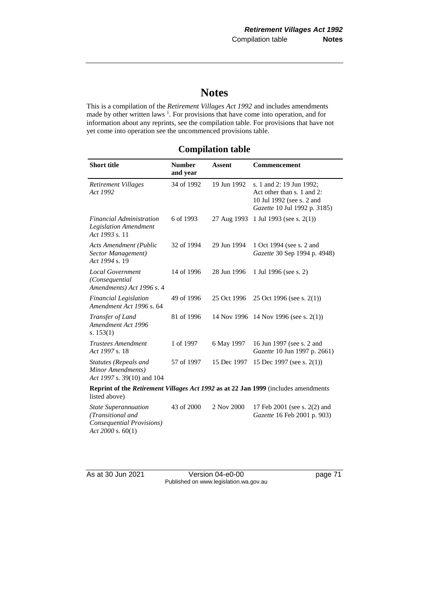# **Notes**

This is a compilation of the *Retirement Villages Act 1992* and includes amendments made by other written laws<sup>1</sup>. For provisions that have come into operation, and for information about any reprints, see the compilation table. For provisions that have not yet come into operation see the uncommenced provisions table.

## **Compilation table**

| <b>Short title</b>                                                                                                | <b>Number</b><br>and year | <b>Assent</b> | Commencement                                                                                                        |
|-------------------------------------------------------------------------------------------------------------------|---------------------------|---------------|---------------------------------------------------------------------------------------------------------------------|
| Retirement Villages<br>Act 1992                                                                                   | 34 of 1992                | 19 Jun 1992   | s. 1 and 2: 19 Jun 1992;<br>Act other than s. 1 and 2:<br>10 Jul 1992 (see s. 2 and<br>Gazette 10 Jul 1992 p. 3185) |
| <b>Financial Administration</b><br><b>Legislation Amendment</b><br>Act 1993 s. 11                                 | 6 of 1993                 | 27 Aug 1993   | 1 Jul 1993 (see s. $2(1)$ )                                                                                         |
| <b>Acts Amendment (Public</b><br>Sector Management)<br>Act 1994 s. 19                                             | 32 of 1994                | 29 Jun 1994   | 1 Oct 1994 (see s. 2 and<br>Gazette 30 Sep 1994 p. 4948)                                                            |
| <b>Local Government</b><br>(Consequential<br>Amendments) Act 1996 s. 4                                            | 14 of 1996                | 28 Jun 1996   | 1 Jul 1996 (see s. 2)                                                                                               |
| <b>Financial Legislation</b><br>Amendment Act 1996 s. 64                                                          | 49 of 1996                | 25 Oct 1996   | 25 Oct 1996 (see s. 2(1))                                                                                           |
| Transfer of Land<br>Amendment Act 1996<br>s. $153(1)$                                                             | 81 of 1996                | 14 Nov 1996   | 14 Nov 1996 (see s. $2(1)$ )                                                                                        |
| <b>Trustees Amendment</b><br>Act 1997 s. 18                                                                       | 1 of 1997                 | 6 May 1997    | 16 Jun 1997 (see s. 2 and<br>Gazette 10 Jun 1997 p. 2661)                                                           |
| Statutes (Repeals and<br>Minor Amendments)<br>Act 1997 s. 39(10) and 104                                          | 57 of 1997                | 15 Dec 1997   | 15 Dec 1997 (see s. $2(1)$ )                                                                                        |
| <b>Reprint of the <i>Retirement Villages Act 1992</i> as at 22 Jan 1999</b> (includes amendments<br>listed above) |                           |               |                                                                                                                     |
| <b>State Superannuation</b><br>(Transitional and<br>Consequential Provisions)<br>Act 2000 s. $60(1)$              | 43 of 2000                | 2 Nov 2000    | 17 Feb 2001 (see s. 2(2) and<br>Gazette 16 Feb 2001 p. 903)                                                         |

As at 30 Jun 2021 Version 04-e0-00 page 71 Published on www.legislation.wa.gov.au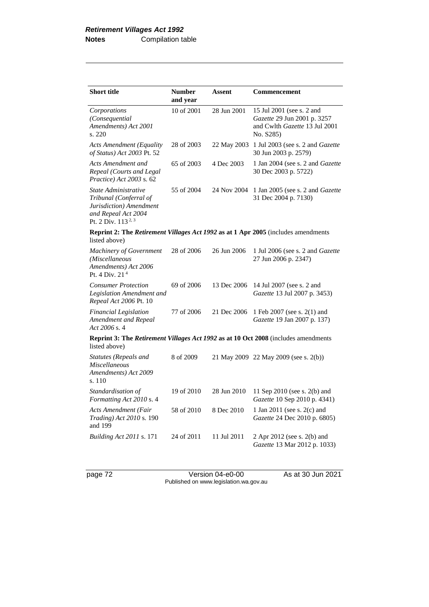| <b>Short title</b>                                                                                                                 | <b>Number</b><br>and year | Assent      | Commencement                                                                                           |  |
|------------------------------------------------------------------------------------------------------------------------------------|---------------------------|-------------|--------------------------------------------------------------------------------------------------------|--|
| Corporations<br>(Consequential<br>Amendments) Act 2001<br>s. 220                                                                   | 10 of 2001                | 28 Jun 2001 | 15 Jul 2001 (see s. 2 and<br>Gazette 29 Jun 2001 p. 3257<br>and Cwlth Gazette 13 Jul 2001<br>No. S285) |  |
| Acts Amendment (Equality<br>of Status) Act 2003 Pt. 52                                                                             | 28 of 2003                |             | 22 May 2003 1 Jul 2003 (see s. 2 and Gazette<br>30 Jun 2003 p. 2579)                                   |  |
| Acts Amendment and<br>Repeal (Courts and Legal<br>Practice) Act 2003 s. 62                                                         | 65 of 2003                | 4 Dec 2003  | 1 Jan 2004 (see s. 2 and Gazette<br>30 Dec 2003 p. 5722)                                               |  |
| State Administrative<br>Tribunal (Conferral of<br>Jurisdiction) Amendment<br>and Repeal Act 2004<br>Pt. 2 Div. 113 <sup>2, 3</sup> | 55 of 2004                | 24 Nov 2004 | 1 Jan 2005 (see s. 2 and <i>Gazette</i><br>31 Dec 2004 p. 7130)                                        |  |
| Reprint 2: The Retirement Villages Act 1992 as at 1 Apr 2005 (includes amendments<br>listed above)                                 |                           |             |                                                                                                        |  |
| <b>Machinery of Government</b><br>(Miscellaneous<br>Amendments) Act 2006<br>Pt. 4 Div. $214$                                       | 28 of 2006                | 26 Jun 2006 | 1 Jul 2006 (see s. 2 and <i>Gazette</i><br>27 Jun 2006 p. 2347)                                        |  |
| <b>Consumer Protection</b><br>Legislation Amendment and<br>Repeal Act 2006 Pt. 10                                                  | 69 of 2006                | 13 Dec 2006 | 14 Jul 2007 (see s. 2 and<br>Gazette 13 Jul 2007 p. 3453)                                              |  |
| Financial Legislation<br>Amendment and Repeal<br>$Act\,2006\,\mathrm{s}.4$                                                         | 77 of 2006                | 21 Dec 2006 | 1 Feb 2007 (see s. 2(1) and<br>Gazette 19 Jan 2007 p. 137)                                             |  |
| Reprint 3: The Retirement Villages Act 1992 as at 10 Oct 2008 (includes amendments<br>listed above)                                |                           |             |                                                                                                        |  |
| Statutes (Repeals and<br>Miscellaneous<br>Amendments) Act 2009<br>s. 110                                                           | 8 of 2009                 |             | 21 May 2009 22 May 2009 (see s. 2(b))                                                                  |  |
| Standardisation of<br>Formatting Act 2010 s. 4                                                                                     | 19 of 2010                | 28 Jun 2010 | 11 Sep 2010 (see s. 2(b) and<br>Gazette 10 Sep 2010 p. 4341)                                           |  |
| <b>Acts Amendment (Fair</b><br>Trading) Act 2010 s. 190<br>and 199                                                                 | 58 of 2010                | 8 Dec 2010  | 1 Jan 2011 (see s. 2(c) and<br>Gazette 24 Dec 2010 p. 6805)                                            |  |
| <i>Building Act 2011 s.</i> 171                                                                                                    | 24 of 2011                | 11 Jul 2011 | 2 Apr 2012 (see s. 2(b) and<br>Gazette 13 Mar 2012 p. 1033)                                            |  |

page 72 Version 04-e0-00 As at 30 Jun 2021 Published on www.legislation.wa.gov.au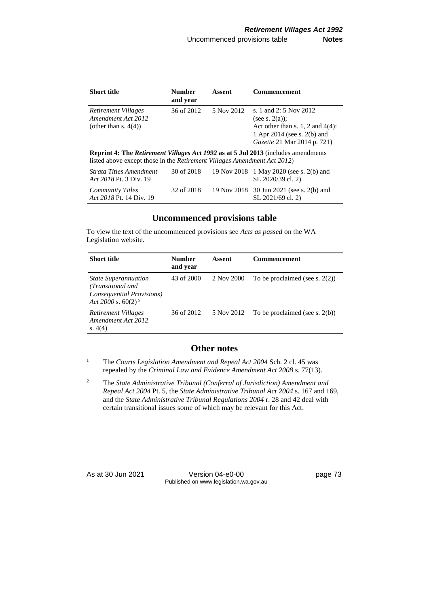| <b>Short title</b>                                                                                                                                                                  | <b>Number</b><br>and year | Assent     | <b>Commencement</b>                                                                                                                              |
|-------------------------------------------------------------------------------------------------------------------------------------------------------------------------------------|---------------------------|------------|--------------------------------------------------------------------------------------------------------------------------------------------------|
| Retirement Villages<br>Amendment Act 2012<br>(other than s. $4(4)$ )                                                                                                                | 36 of 2012                | 5 Nov 2012 | s. 1 and 2: 5 Nov 2012<br>(see s. $2(a)$ ):<br>Act other than s. 1, 2 and $4(4)$ :<br>1 Apr 2014 (see s. 2(b) and<br>Gazette 21 Mar 2014 p. 721) |
| <b>Reprint 4: The <i>Retirement Villages Act 1992</i> as at 5 Jul 2013</b> (includes amendments<br>listed above except those in the <i>Retirement Villages Amendment Act 2012</i> ) |                           |            |                                                                                                                                                  |
| Strata Titles Amendment<br>Act 2018 Pt. 3 Div. 19                                                                                                                                   | 30 of 2018                |            | 19 Nov 2018 1 May 2020 (see s. 2(b) and<br>SL 2020/39 cl. 2)                                                                                     |
| <b>Community Titles</b><br>Act 2018 Pt. 14 Div. 19                                                                                                                                  | 32 of 2018                |            | 19 Nov 2018 30 Jun 2021 (see s. 2(b) and<br>SL 2021/69 cl. 2)                                                                                    |

## **Uncommenced provisions table**

To view the text of the uncommenced provisions see *Acts as passed* on the WA Legislation website.

| <b>Short title</b>                                                                                     | <b>Number</b><br>and year | Assent     | <b>Commencement</b>               |
|--------------------------------------------------------------------------------------------------------|---------------------------|------------|-----------------------------------|
| <i>State Superannuation</i><br>(Transitional and<br>Consequential Provisions)<br>Act 2000 s. $60(2)^5$ | 43 of 2000                | 2 Nov 2000 | To be proclaimed (see s. $2(2)$ ) |
| Retirement Villages<br>Amendment Act 2012<br>s. $4(4)$                                                 | 36 of 2012                | 5 Nov 2012 | To be proclaimed (see s. $2(b)$ ) |

## **Other notes**

<sup>1</sup> The *Courts Legislation Amendment and Repeal Act 2004* Sch. 2 cl. 45 was repealed by the *Criminal Law and Evidence Amendment Act 2008* s. 77(13).

<sup>2</sup> The *State Administrative Tribunal (Conferral of Jurisdiction) Amendment and Repeal Act 2004* Pt. 5, the *State Administrative Tribunal Act 2004* s. 167 and 169, and the *State Administrative Tribunal Regulations 2004* r. 28 and 42 deal with certain transitional issues some of which may be relevant for this Act.

As at 30 Jun 2021 Version 04-e0-00 Page 73 Published on www.legislation.wa.gov.au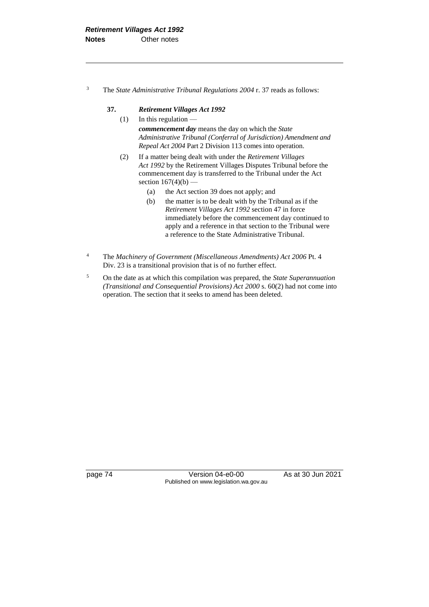<sup>3</sup> The *State Administrative Tribunal Regulations 2004* r. 37 reads as follows:

#### **37.** *Retirement Villages Act 1992*

- (1) In this regulation *commencement day* means the day on which the *State Administrative Tribunal (Conferral of Jurisdiction) Amendment and Repeal Act 2004* Part 2 Division 113 comes into operation.
- (2) If a matter being dealt with under the *Retirement Villages Act 1992* by the Retirement Villages Disputes Tribunal before the commencement day is transferred to the Tribunal under the Act section  $167(4)(b)$  –
	- (a) the Act section 39 does not apply; and
	- (b) the matter is to be dealt with by the Tribunal as if the *Retirement Villages Act 1992* section 47 in force immediately before the commencement day continued to apply and a reference in that section to the Tribunal were a reference to the State Administrative Tribunal.
- <sup>4</sup> The *Machinery of Government (Miscellaneous Amendments) Act 2006* Pt. 4 Div. 23 is a transitional provision that is of no further effect.
- <sup>5</sup> On the date as at which this compilation was prepared, the *State Superannuation (Transitional and Consequential Provisions) Act 2000* s. 60(2) had not come into operation. The section that it seeks to amend has been deleted.

page 74 Version 04-e0-00 As at 30 Jun 2021 Published on www.legislation.wa.gov.au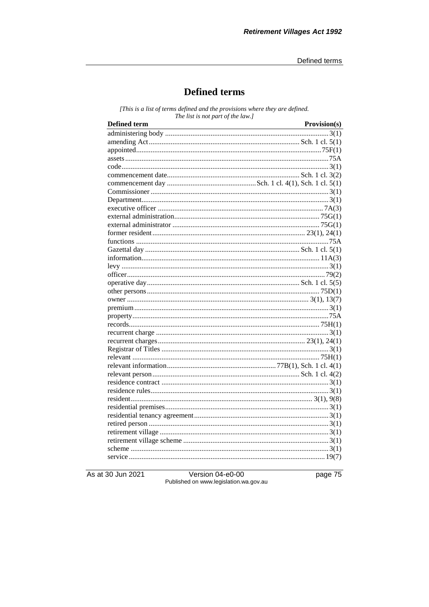# **Defined terms**

[This is a list of terms defined and the provisions where they are defined. The list is not part of the law.]

| <b>Defined</b> term<br><u> 1980 - Johann Barn, mars ann an t-Amhain Aonaich an t-Aonaich an t-Aonaich ann an t-Aonaich ann an t-Aonaich</u> | Provision(s) |
|---------------------------------------------------------------------------------------------------------------------------------------------|--------------|
|                                                                                                                                             |              |
|                                                                                                                                             |              |
|                                                                                                                                             |              |
|                                                                                                                                             |              |
|                                                                                                                                             |              |
|                                                                                                                                             |              |
|                                                                                                                                             |              |
|                                                                                                                                             |              |
|                                                                                                                                             |              |
|                                                                                                                                             |              |
|                                                                                                                                             |              |
|                                                                                                                                             |              |
|                                                                                                                                             |              |
|                                                                                                                                             |              |
|                                                                                                                                             |              |
|                                                                                                                                             |              |
|                                                                                                                                             |              |
|                                                                                                                                             |              |
|                                                                                                                                             |              |
|                                                                                                                                             |              |
|                                                                                                                                             |              |
|                                                                                                                                             |              |
|                                                                                                                                             |              |
|                                                                                                                                             |              |
|                                                                                                                                             |              |
|                                                                                                                                             |              |
|                                                                                                                                             |              |
|                                                                                                                                             |              |
|                                                                                                                                             |              |
|                                                                                                                                             |              |
|                                                                                                                                             |              |
|                                                                                                                                             |              |
|                                                                                                                                             |              |
|                                                                                                                                             |              |
|                                                                                                                                             |              |
|                                                                                                                                             |              |
|                                                                                                                                             |              |
|                                                                                                                                             |              |
|                                                                                                                                             |              |
|                                                                                                                                             |              |

As at 30 Jun 2021

Version 04-e0-00<br>Published on www.legislation.wa.gov.au

page 75